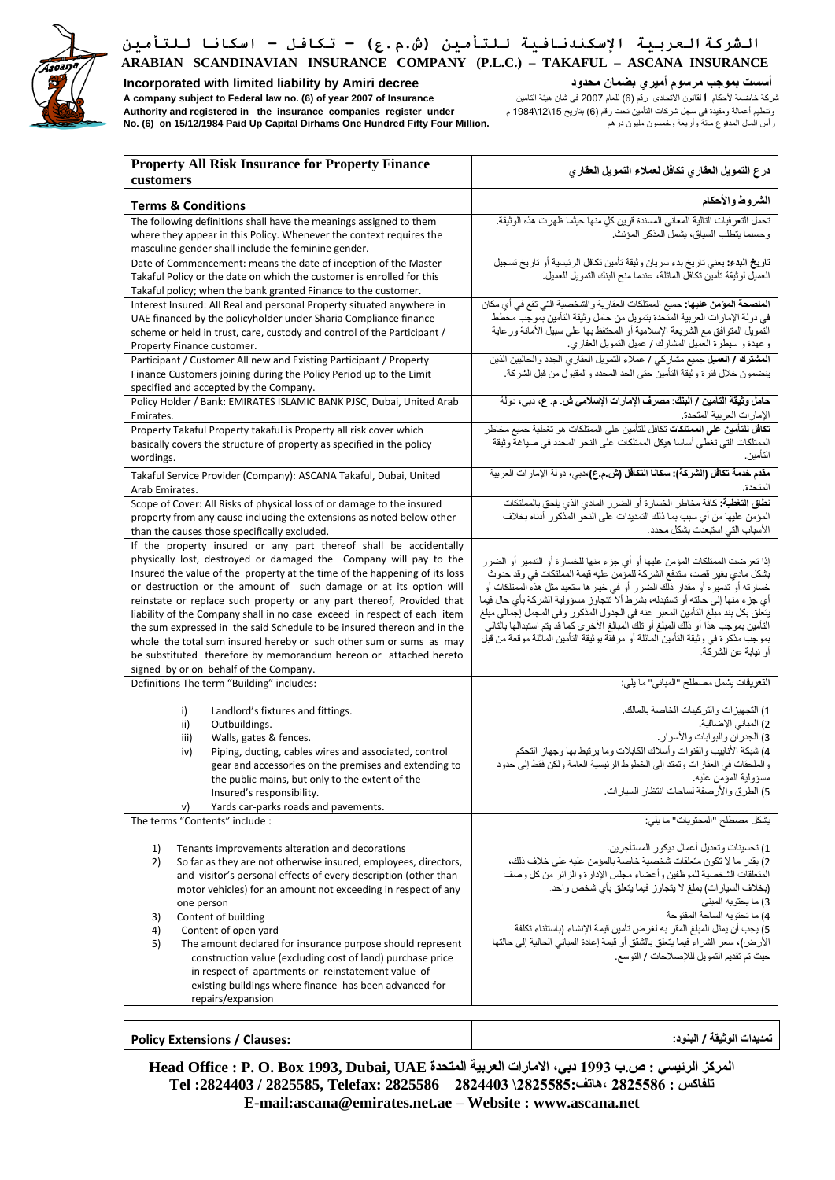

**Incorporated with limited liability by Amiri decree محدود بضمان أميري مرسوم بموجب أسست** شركة خاضعة ألحكام **ا**لقانون االتحادى رقم )6( للعام 2007 فى شان هيئة التامين **Insurance of 2007 year of) 6 (.no law Federal to subject company A** وتنظيم أعمالة ومقيدة في سجل شركات التأمين تحت رقم )6( بتاريخ 15\ 12\ 1984 م **under register companies insurance the in registered and Authority**

**No. (6) on 15/12/1984 Paid Up Capital Dirhams One Hundred Fifty Four Million.** درهم مليون وخمسون وأربعة مائة المدفوع المال رأس

| <b>Property All Risk Insurance for Property Finance</b><br>customers                                                                                                                                                                                                                                                                                                                                                                                                                                                                                                                                                                                                                                           | درع التمويل العقاري تكافل لعملاء التمويل العقاري                                                                                                                                                                                                                                                                                                                                                                                                                                                                                                                                                                  |
|----------------------------------------------------------------------------------------------------------------------------------------------------------------------------------------------------------------------------------------------------------------------------------------------------------------------------------------------------------------------------------------------------------------------------------------------------------------------------------------------------------------------------------------------------------------------------------------------------------------------------------------------------------------------------------------------------------------|-------------------------------------------------------------------------------------------------------------------------------------------------------------------------------------------------------------------------------------------------------------------------------------------------------------------------------------------------------------------------------------------------------------------------------------------------------------------------------------------------------------------------------------------------------------------------------------------------------------------|
| <b>Terms &amp; Conditions</b>                                                                                                                                                                                                                                                                                                                                                                                                                                                                                                                                                                                                                                                                                  | الشروط والأحكام                                                                                                                                                                                                                                                                                                                                                                                                                                                                                                                                                                                                   |
| The following definitions shall have the meanings assigned to them<br>where they appear in this Policy. Whenever the context requires the<br>masculine gender shall include the feminine gender.                                                                                                                                                                                                                                                                                                                                                                                                                                                                                                               | تحمل التعر فيات التالية المعاني المسندة قرين كل منها حيثما ظهرت هذه الوثيقة.<br>وحسبما يتطلب السياق، يشمل المذكر المؤنث.                                                                                                                                                                                                                                                                                                                                                                                                                                                                                          |
| Date of Commencement: means the date of inception of the Master<br>Takaful Policy or the date on which the customer is enrolled for this<br>Takaful policy; when the bank granted Finance to the customer.                                                                                                                                                                                                                                                                                                                                                                                                                                                                                                     | تاريخ البدء: يعني تاريخ بدء سريان وثيقة تأمين تكافل الرئيسية أو تاريخ تسجيل<br>العميل لوثيقة تأمين تكافل الماثلة، عندما منح البنك التمويل للعميل.                                                                                                                                                                                                                                                                                                                                                                                                                                                                 |
| Interest Insured: All Real and personal Property situated anywhere in<br>UAE financed by the policyholder under Sharia Compliance finance<br>scheme or held in trust, care, custody and control of the Participant /<br>Property Finance customer.                                                                                                                                                                                                                                                                                                                                                                                                                                                             | ا <b>لملصحة المؤمن عليها:</b> جميع الممتلكات العقارية والشخصية التي تقع في أي مكان<br>في دولة الإمارات العربية المتحدة بتمويل من حامل وثيقة التأمين بموجب مخطط<br>التَّمويل المتوافق مع الشَّريعة الإسلامية أو المحتفظ بها على سبيل الأمانة ورعاية<br>وعهدة و سيطرة العميل المشارك / عميل التمويل العقاري.                                                                                                                                                                                                                                                                                                        |
| Participant / Customer All new and Existing Participant / Property<br>Finance Customers joining during the Policy Period up to the Limit<br>specified and accepted by the Company.                                                                                                                                                                                                                                                                                                                                                                                                                                                                                                                             | ا <b>لمشترك / العميل</b> جميع مشاركي / عملاء التمويل العقاري الجدد والحاليين الذين<br>ينضمون خلال فترة وثيقة التأمين حتى الحد المحدد والمقبول من قبل الشركة.                                                                                                                                                                                                                                                                                                                                                                                                                                                      |
| Policy Holder / Bank: EMIRATES ISLAMIC BANK PJSC, Dubai, United Arab<br>Emirates.                                                                                                                                                                                                                                                                                                                                                                                                                                                                                                                                                                                                                              | حامل وثيقة التأمين / البنك: مصرف الإمارات الإسلامي ش. م. ع، دبي، دولة<br>الإمار ات العربية المتحدة.                                                                                                                                                                                                                                                                                                                                                                                                                                                                                                               |
| Property Takaful Property takaful is Property all risk cover which<br>basically covers the structure of property as specified in the policy<br>wordings.                                                                                                                                                                                                                                                                                                                                                                                                                                                                                                                                                       | <b>تكافل للتأمين على الممتلكات</b> تكافل للتأمين على الممتلكات هو تغطية جميع مخاطر<br>الممتلكات التي تغطّي أساسا هيكل الممتلكات على النحو المحدد في صياغة وثيقة<br>التأمين.                                                                                                                                                                                                                                                                                                                                                                                                                                       |
| Takaful Service Provider (Company): ASCANA Takaful, Dubai, United<br>Arab Emirates.                                                                                                                                                                                                                                                                                                                                                                                                                                                                                                                                                                                                                            | مقدم خدمة تكافل (الشركة): سكانا التكافل (ش.م.ع)،دبي، دولة الإمارات العربية<br>المتحدة.                                                                                                                                                                                                                                                                                                                                                                                                                                                                                                                            |
| Scope of Cover: All Risks of physical loss of or damage to the insured<br>property from any cause including the extensions as noted below other<br>than the causes those specifically excluded.                                                                                                                                                                                                                                                                                                                                                                                                                                                                                                                | <b>نطاق التغطية:</b> كافة مخاطر الخسارة أو الضرر المادي الذي يلحق بالمملتكات<br>المؤمن عليها من أي سبب بما ذلك التمديدات على النحو المذكور أدناه بخلاف<br>الأسباب التي استبعدت بشكل محدد.                                                                                                                                                                                                                                                                                                                                                                                                                         |
| If the property insured or any part thereof shall be accidentally<br>physically lost, destroyed or damaged the Company will pay to the<br>Insured the value of the property at the time of the happening of its loss<br>or destruction or the amount of such damage or at its option will<br>reinstate or replace such property or any part thereof, Provided that<br>liability of the Company shall in no case exceed in respect of each item<br>the sum expressed in the said Schedule to be insured thereon and in the<br>whole the total sum insured hereby or such other sum or sums as may<br>be substituted therefore by memorandum hereon or attached hereto<br>signed by or on behalf of the Company. | إذا تعرضت الممتلكات المؤمن عليها أو أي جزء منها للخسارة أو التدمير أو الضرر<br>بشكل مادي بغير قصد، ستدفع الشركة للموَّمن عليه قيمة المملتكات في وقد حدوث<br>خسارته أو تنميره أو مقدار ذلك الصرر أو في خيار ها ستعيد مثل هذه الممتلكات أو<br>أي جزء منها إلى حالته أو تستبدله، بشرط ألا تتجاوز مسؤولية الشركة بأي حال فيما<br>يتُعلق بكل بند مبلغ التأمين المعبر عنه في الجدول المذكور وفي المجمل إجمالي مبلغ<br>التأمين بموجب هذا أو ذلك المبلغ أو نلك المبالغ الأخرى كما قدّ يتم استبدالها بالّتالي<br>بموجب مذكرة في وثيقة التأمين الماثلة أو مرفقة بوثيقة التأمين الماثلة موقعة من قبّل<br>أو نيابة عن الشركة. |
| Definitions The term "Building" includes:                                                                                                                                                                                                                                                                                                                                                                                                                                                                                                                                                                                                                                                                      | التعريفات يشمل مصطلح "المباني" ما يلي:                                                                                                                                                                                                                                                                                                                                                                                                                                                                                                                                                                            |
| Landlord's fixtures and fittings.<br>i)<br>Outbuildings.<br>ii)<br>Walls, gates & fences.<br>iii)<br>Piping, ducting, cables wires and associated, control<br>iv)<br>gear and accessories on the premises and extending to<br>the public mains, but only to the extent of the<br>Insured's responsibility.<br>Yards car-parks roads and pavements.<br>v)                                                                                                                                                                                                                                                                                                                                                       | 1) التجهيزات والتركيبات الخاصة بالمالك.<br>2) المباني الإضافية.<br>3) الجدران والبوابات والأسوار.<br>4) شبكة الأنابيب والقنوات وأسلاك الكابلات وما يرتبط بها وجهاز التحكم<br>والملحقات في العقارات وتمتد إلى الخطوط الرئيسية العامة ولكن فقط إلى حدود<br>مسؤولية المؤمن عليه.<br>5) الطرق والأرصفة لساحات انتظار السبارات.                                                                                                                                                                                                                                                                                        |
| The terms "Contents" include :                                                                                                                                                                                                                                                                                                                                                                                                                                                                                                                                                                                                                                                                                 | يشكل مصطلح "المحتويات" ما يلي:                                                                                                                                                                                                                                                                                                                                                                                                                                                                                                                                                                                    |
| Tenants improvements alteration and decorations<br>1)<br>2)<br>So far as they are not otherwise insured, employees, directors,<br>and visitor's personal effects of every description (other than<br>motor vehicles) for an amount not exceeding in respect of any<br>one person<br>3)<br>Content of building<br>4)<br>Content of open yard<br>5)<br>The amount declared for insurance purpose should represent<br>construction value (excluding cost of land) purchase price<br>in respect of apartments or reinstatement value of<br>existing buildings where finance has been advanced for<br>repairs/expansion                                                                                             | 1) تحسينات وتعديل أعمال ديكور المستأجرين.<br>2) بقدر ما لا تكون متعلقات شخصية خاصة بالمؤمن عليه على خلاف ذلك،<br>المتعلقات الشخصية للموظفين وأعضاء مجلس الإدارة والزائر من كل وصف<br>(بخلاف السيارات) بملغ لا يتجاوز فيما يتعلق بأي شخص واحد.<br>3) ما يحتويه المبنى<br>4) ما تحتو به الساحة المفتوحة<br>5) يجب أن يمثل المبلغ المقر به لغرض تأمين قيمة الإنشاء (باستثناء تكلفة<br>الأرض)، سعر الشراءِ فيما يتعلق بالشقق أو قيمة إعادة المباني الحالية إلى حالتها<br>حيث تم تقديم التمويل لللإصلاحات / التوسع.                                                                                                    |
| <b>Policy Extensions / Clauses:</b>                                                                                                                                                                                                                                                                                                                                                                                                                                                                                                                                                                                                                                                                            | تمديدات الوثيقة / البنود:                                                                                                                                                                                                                                                                                                                                                                                                                                                                                                                                                                                         |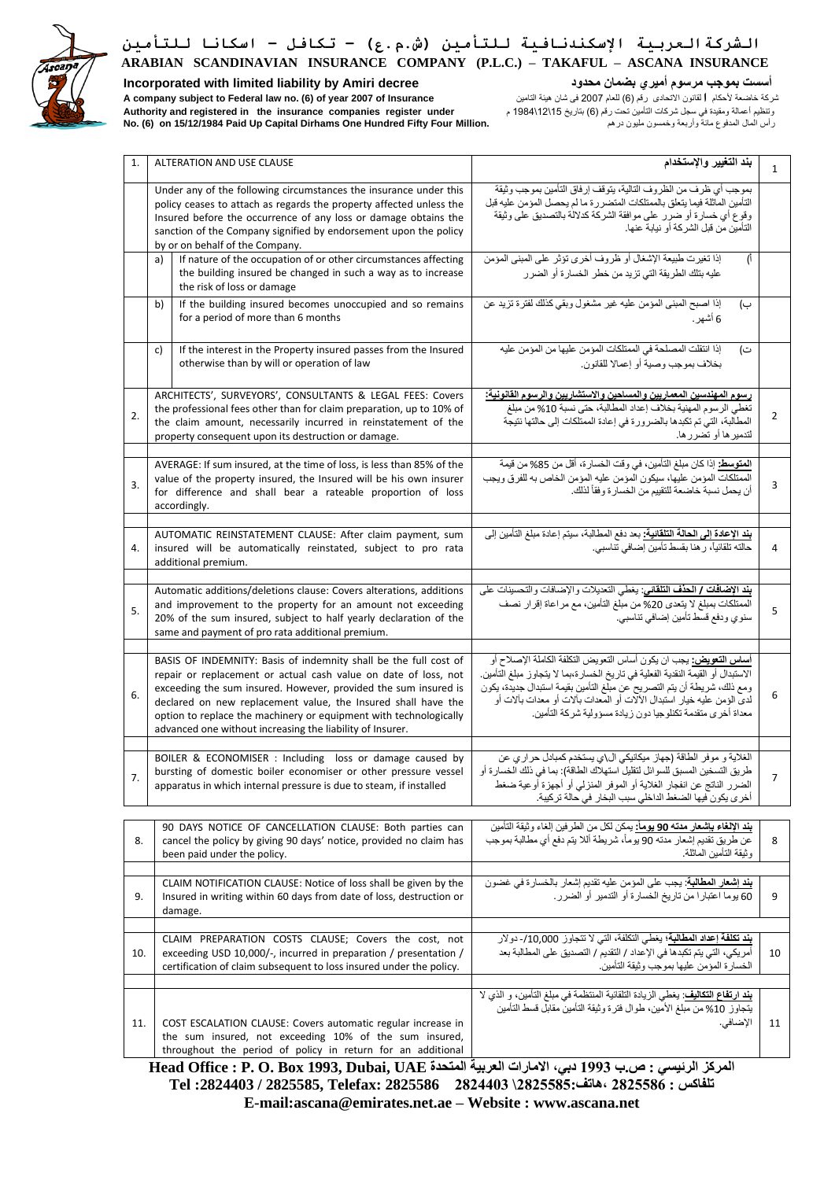

**Incorporated with limited liability by Amiri decree محدود بضمان أميري مرسوم بموجب أسست**

شركة خاضعة ألحكام **ا**لقانون االتحادى رقم )6( للعام 2007 فى شان هيئة التامين **Insurance of 2007 year of) 6 (.no law Federal to subject company A** وتنظيم أعمالة ومقيدة في سجل شركات التأمين تحت رقم )6( بتاريخ 15\ 12\ 1984 م **under register companies insurance the in registered and Authority No. (6) on 15/12/1984 Paid Up Capital Dirhams One Hundred Fifty Four Million.** درهم مليون وخمسون وأربعة مائة المدفوع المال رأس

| 1.  | <b>ALTERATION AND USE CLAUSE</b>                                                                                                                                                                                                                                                                                                                                                                          | بند التغيير والإستخدام                                                                                                                                                                                                                                                                                                                                                                      | $\mathbf{1}$ |
|-----|-----------------------------------------------------------------------------------------------------------------------------------------------------------------------------------------------------------------------------------------------------------------------------------------------------------------------------------------------------------------------------------------------------------|---------------------------------------------------------------------------------------------------------------------------------------------------------------------------------------------------------------------------------------------------------------------------------------------------------------------------------------------------------------------------------------------|--------------|
|     | Under any of the following circumstances the insurance under this<br>policy ceases to attach as regards the property affected unless the<br>Insured before the occurrence of any loss or damage obtains the<br>sanction of the Company signified by endorsement upon the policy<br>by or on behalf of the Company.                                                                                        | بموجب أي ظرف من الظروف التالية، يتوقف إرفاق التأمين بموجب وثيقة<br>التأمين المأثلة فيما يتعلق بالممتلكات المتضررة ما لم يحصل المؤمن عليه قبل<br>وقوع أي خسارة أو ضرر على موافقة الشركة كدلالة بالتصديق على وثيقة<br>التأمين من قبل الشر كة أو نيابة عنها.                                                                                                                                   |              |
|     | If nature of the occupation of or other circumstances affecting<br>a)<br>the building insured be changed in such a way as to increase<br>the risk of loss or damage                                                                                                                                                                                                                                       | إذا تغيرت طبيعة الإشغال أو ظروف أخرى تؤثر على المبنى المؤمن<br>(।<br>عليه بتلك الطريقة التي تزيد من خطر الخسارة أو الضرر                                                                                                                                                                                                                                                                    |              |
|     | If the building insured becomes unoccupied and so remains<br>b)<br>for a period of more than 6 months                                                                                                                                                                                                                                                                                                     | إذا اصبح المبنى المؤمن عليه غير مشغول وبقي كذلك لفترة تزيد عن<br>ب)<br>6 أشهر .                                                                                                                                                                                                                                                                                                             |              |
|     | If the interest in the Property insured passes from the Insured<br>c)<br>otherwise than by will or operation of law                                                                                                                                                                                                                                                                                       | إذا انتقلت المصلحة في الممتلكات المؤمن عليها من المؤمن عليه<br>ت)<br>بخلاف بموجب وصية أو إعمالا للقانون.                                                                                                                                                                                                                                                                                    |              |
| 2.  | ARCHITECTS', SURVEYORS', CONSULTANTS & LEGAL FEES: Covers<br>the professional fees other than for claim preparation, up to 10% of<br>the claim amount, necessarily incurred in reinstatement of the<br>property consequent upon its destruction or damage.                                                                                                                                                | رسوم المهندسين المعماريين والمساحين والاستشاريين والرسوم القانونية:<br>تغطي الرسوم المهنية بخلاف إعداد المطالبة، حتى نسبة 10% من مبلغ<br>المطالبة، التي تم تكبدها بالضرورة في إعادة الممتلكات إلى حالتها نتيجة<br>لتدمير ها أو تضرر ها.                                                                                                                                                     | 2            |
| 3.  | AVERAGE: If sum insured, at the time of loss, is less than 85% of the<br>value of the property insured, the Insured will be his own insurer<br>for difference and shall bear a rateable proportion of loss<br>accordingly.                                                                                                                                                                                | ا <b>لمتوسط:</b> إذا كان مبلغ التأمين، في وقت الخسارة، أقل من 85% من قيمة<br>الممتلكات المؤمن عليها، سيكون المؤمن عليه المؤمن الخاص به للفرق ويجب<br>أن يحمل نسبة خاضعة للتقييم من الخسار ة و فقاً لذلك.                                                                                                                                                                                    | 3            |
| 4.  | AUTOMATIC REINSTATEMENT CLAUSE: After claim payment, sum<br>insured will be automatically reinstated, subject to pro rata<br>additional premium.                                                                                                                                                                                                                                                          | <mark>بند الإعادة إلى الحالة التلقانية:</mark> بعد دفع المطالبة، سيتم إعادة مبلغ التأمين إلى                                                                                                                                                                                                                                                                                                | 4            |
| 5.  | Automatic additions/deletions clause: Covers alterations, additions<br>and improvement to the property for an amount not exceeding<br>20% of the sum insured, subject to half yearly declaration of the<br>same and payment of pro rata additional premium.                                                                                                                                               | بند الإضافات / الحذف التلقاني: يغطي التعديلات والإضافات والتحسينات على<br>الممتلكات بمبلغ لا يتعدى 20% من مبلّغ التأمين، مع مراعاة إقرار نصف<br>سنوي ودفع قسط تأمين إضافي تناسبي.                                                                                                                                                                                                           | 5            |
| 6.  | BASIS OF INDEMNITY: Basis of indemnity shall be the full cost of<br>repair or replacement or actual cash value on date of loss, not<br>exceeding the sum insured. However, provided the sum insured is<br>declared on new replacement value, the Insured shall have the<br>option to replace the machinery or equipment with technologically<br>advanced one without increasing the liability of Insurer. | <mark>أساس التعويض:</mark> يجب ان يكون أساس التعويض التكلفة الكاملة الإصلاح أو<br>الاستبدال أو القيمة النقدية الفعلية في تاريخ الخسارة،بما لا يتجاوز مبلغ التأمين.<br>ومع ذلك، شريطة أن يتم التصريح عن مبلغ التأمين بقيمة استبدال جديدة، يكون<br>لديِّ الوَمن عليه خيار استبدال الألَّات أو المعدات بآلات أو معدات بألات أو<br>معداة أُخرِي متقدمة تكنلوجيا دون زيادة مسؤولية شركة التأمين. | 6            |
|     | BOILER & ECONOMISER : Including loss or damage caused by<br>bursting of domestic boiler economiser or other pressure vessel<br>apparatus in which internal pressure is due to steam, if installed                                                                                                                                                                                                         | الغلاية و موفر الطاقة (جهاز ميكانيكي ال\ي يستخدم كمبادل حراري عن<br>طريق التسخين المسبق للسوائل لتقليل استهلاك الطاقة): بما في ذلك الخسارة أو<br>الضرر الناتج عن انفجار الغلاية أو الموفر المنزلي أو أجهزة أوعية ضغط<br>أخر ي يكون فيها الضغط الداخلي سبب البخار  في حالة تر كيبة.                                                                                                          |              |
| 8.  | 90 DAYS NOTICE OF CANCELLATION CLAUSE: Both parties can<br>cancel the policy by giving 90 days' notice, provided no claim has<br>been paid under the policy.                                                                                                                                                                                                                                              | <b>بند الإلغاء بإشعار مدته 90 يومأ:</b> يمكن لكل من الطرفين الغاء وثيقة التأمين<br>عن طريق تقديم إشعار مدته 90 يوماً، شريطة أللا يتم دفع أي مطالبة بموجب<br>وثيقة التأمين الماثلة.                                                                                                                                                                                                          | 8            |
| 9.  | CLAIM NOTIFICATION CLAUSE: Notice of loss shall be given by the<br>Insured in writing within 60 days from date of loss, destruction or<br>damage.                                                                                                                                                                                                                                                         | <b>بند إشعار المطالبة:</b> يجب على المؤمن عليه تقديم إشعار بالخسارة في غضون<br>60 يوما اعتبار ا من تاريخ الخسارة أو التدمير أو الضرر .                                                                                                                                                                                                                                                      | 9            |
| 10. | CLAIM PREPARATION COSTS CLAUSE; Covers the cost, not<br>exceeding USD 10,000/-, incurred in preparation / presentation /<br>certification of claim subsequent to loss insured under the policy.                                                                                                                                                                                                           | بند تكلفة إعداد المطالبة؛ يغطي التكلفة، التي لا تتجاوز 10,000/- دولار<br>أمريكي، التي يتم تكبدها في الإعداد / التقديم / التصديق على المطالبة بعد<br>الخسارة المؤمن عليها بموجب وثيقة التأمين.                                                                                                                                                                                               | 10           |
| 11. | COST ESCALATION CLAUSE: Covers automatic regular increase in<br>the sum insured, not exceeding 10% of the sum insured,<br>throughout the period of policy in return for an additional                                                                                                                                                                                                                     | <b>بند ارتفاع التكاليف:</b> يغطي الزيادة التلقائية المنتظمة في مبلغ التأمين، و الذي لا<br>يتجاوز 10% من مبلغ الأمين، طوال فترة وثيقة التأمين مقابل قسط التأمين<br>الإضافي.<br>$^{+}$                                                                                                                                                                                                        | 11           |

المركز الرئي*سي* : ص.ب 1993 دبي، الامارات العربية المتحدة Head Office : P. O. Box 1993, Dubai, UAE **تلفاكس : 2825586 ،هاتف2825585:\ 2824403 2825586 :Telefax 2825585, / :2824403 Tel E-mail:ascana@emirates.net.ae – Website : www.ascana.net**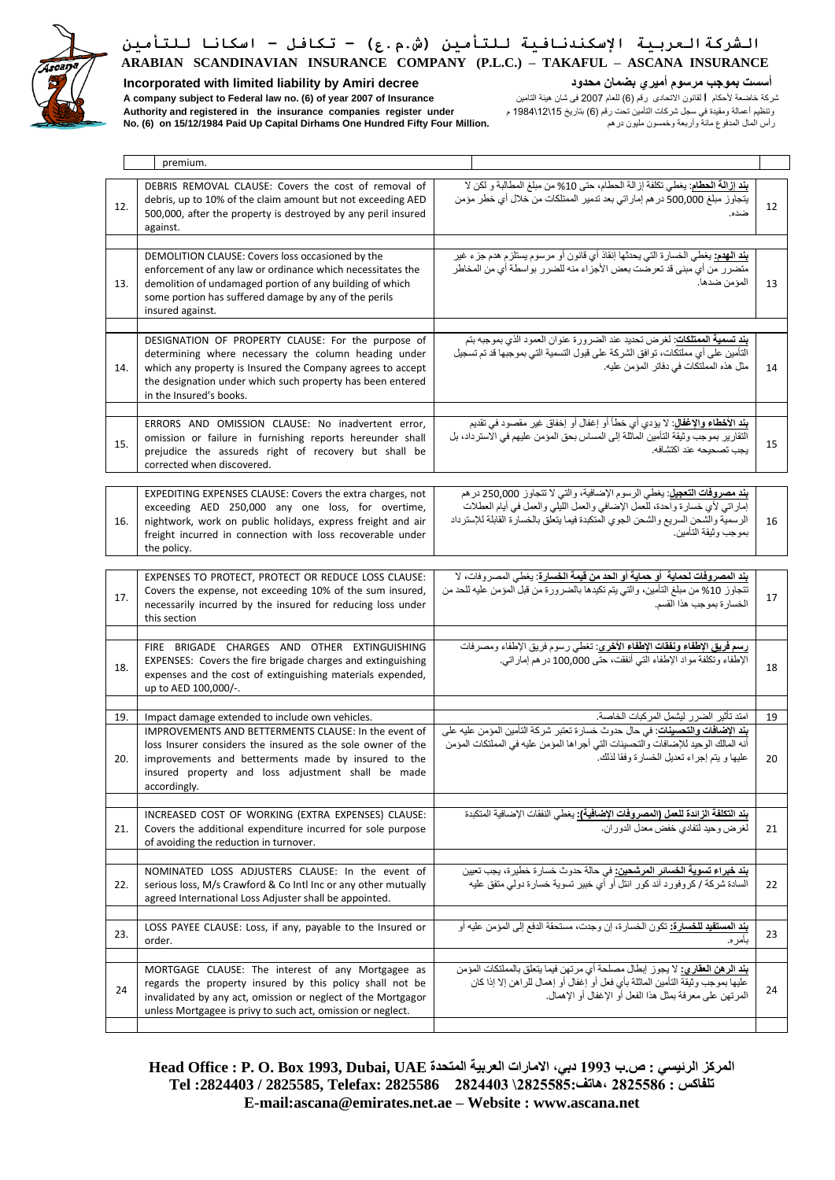

**Incorporated with limited liability by Amiri decree محدود بضمان أميري مرسوم بموجب أسست** وتنظيم أعمالة ومقيدة في سجل شركات التأمين تحت رقم )6( بتاريخ 15\ 12\ 1984 م **under register companies insurance the in registered and Authority**

شركة خاضعة ألحكام **ا**لقانون االتحادى رقم )6( للعام 2007 فى شان هيئة التامين **Insurance of 2007 year of) 6 (.no law Federal to subject company A No. (6) on 15/12/1984 Paid Up Capital Dirhams One Hundred Fifty Four Million.** درهم مليون وخمسون وأربعة مائة المدفوع المال رأس

| premium.                                                                                                                                                                                                                                                                                                          |                                                                                                                                                                                                                                                                                      |          |
|-------------------------------------------------------------------------------------------------------------------------------------------------------------------------------------------------------------------------------------------------------------------------------------------------------------------|--------------------------------------------------------------------------------------------------------------------------------------------------------------------------------------------------------------------------------------------------------------------------------------|----------|
| DEBRIS REMOVAL CLAUSE: Covers the cost of removal of<br>debris, up to 10% of the claim amount but not exceeding AED<br>12.<br>500,000, after the property is destroyed by any peril insured<br>against.                                                                                                           | بِند إزالة الحطام: يغطي تكلفة إزالة الحطام، حتى 10% من مبلغ المطالبة و لكن لا<br>يتجاوز مبلغ 500,000 در هم إماراتي بعد تدمير الممتلكات من خلال أي خطر مؤمن<br>ضده.                                                                                                                   | 12       |
| DEMOLITION CLAUSE: Covers loss occasioned by the<br>enforcement of any law or ordinance which necessitates the<br>demolition of undamaged portion of any building of which<br>13.<br>some portion has suffered damage by any of the perils<br>insured against.                                                    | <mark>بند الـهدم:</mark> يغطـي الـخسارة التي يـحدثـها إنقاذ أي قانون أو مرسوم يستلزم هدم جزء غير<br>متضرر ٍ من أي مبنى قد تعرضت بعض الأجزاء منه للضرر ۖ بواسطة أي من المخاطر<br>المؤمن ضدها.                                                                                         | 13       |
| DESIGNATION OF PROPERTY CLAUSE: For the purpose of<br>determining where necessary the column heading under<br>which any property is Insured the Company agrees to accept<br>14.<br>the designation under which such property has been entered<br>in the Insured's books.                                          | بند تسمية الممتلكات: لغرض تحديد عند الضرورة عنوان العمود الذي بموجبه بتم<br>التأمين على أي مملتكات، توافق الشركة على قبول التسمية التي بموجبها قد تم تسجيل<br>مثل هذه المملتكات في دفاتر المؤمن عليه.                                                                                | 14       |
| ERRORS AND OMISSION CLAUSE: No inadvertent error,<br>omission or failure in furnishing reports hereunder shall<br>15.<br>prejudice the assureds right of recovery but shall be<br>corrected when discovered.                                                                                                      | <b>بند الأخطاء والإغفال</b> : لا يؤدي أي خطأ أو إغفال أو إخفاق غير مقصود في تقديم<br>التقارير بموجب وثيقة التأمين الماثلة إلى المساس بحق المؤمن عليهم في الاسترداد، بل<br>بجب تصحيحه عند اكتشافه.                                                                                    | 15       |
| EXPEDITING EXPENSES CLAUSE: Covers the extra charges, not<br>exceeding AED 250,000 any one loss, for overtime,<br>nightwork, work on public holidays, express freight and air<br>16.<br>freight incurred in connection with loss recoverable under<br>the policy.                                                 | <mark>بند مصروفات التعجيل</mark> : يغطي الرسوم الإضافية، والتي لا تتجاوز 250,000 در هم<br>إماراتي لأي خسارة واحدة، للعمل الإضافي والعمل الليلي والعمل في أيام العطلات<br>الرسمية والشحن السريع والشحن الجوي المتكبدة فيما يتعلق بالخسارة القابلة للإسترداد<br>بمو جب و ثبقة التأمين. | 16       |
| EXPENSES TO PROTECT, PROTECT OR REDUCE LOSS CLAUSE:<br>Covers the expense, not exceeding 10% of the sum insured,<br>17.<br>necessarily incurred by the insured for reducing loss under<br>this section                                                                                                            | بند المصروفات لحماية  أو حماية أو الحد من قيمة الخسارة: يغطي المصر وفات، لا<br>تتجاوز 10% من مبلغ التأمين، والتي يتم تكيدها بالضرورة من قبل المؤمن عليه للحد من<br>الخسار ة بموجب هذا القسم.                                                                                         | 17       |
| FIRE BRIGADE CHARGES AND OTHER EXTINGUISHING<br>EXPENSES: Covers the fire brigade charges and extinguishing<br>18.<br>expenses and the cost of extinguishing materials expended,<br>up to AED 100,000/-.                                                                                                          | رسم فريق الإطفاء ونفقات الإطفاء الأخرى: تغطي رسوم فريق الإطفاء ومصرفات<br>الإطفاء وتكلفة مواد الإطفاء التي أنفقت، حتى 100,000 درهم إماراتي.                                                                                                                                          | 18       |
|                                                                                                                                                                                                                                                                                                                   |                                                                                                                                                                                                                                                                                      |          |
| 19.<br>Impact damage extended to include own vehicles.<br>IMPROVEMENTS AND BETTERMENTS CLAUSE: In the event of<br>loss Insurer considers the insured as the sole owner of the<br>improvements and betterments made by insured to the<br>20.<br>insured property and loss adjustment shall be made<br>accordingly. | امتد تأثير الضرر ليشمل المركبات الخاصة.<br><b>بند الإضافات والتحسينات</b> : في حال حدوث خسارة تعتبر شركة التأمين المؤمن عليه على<br>أنه المالك الوحيد للإضافات والتحسينات التي أجراها المؤمن عليه في المملتكات المؤمن<br>عليها و يتم إجراء تعديل الخسارة وفقا لذلك.                  | 19<br>20 |
| INCREASED COST OF WORKING (EXTRA EXPENSES) CLAUSE:<br>Covers the additional expenditure incurred for sole purpose<br>21.<br>of avoiding the reduction in turnover.                                                                                                                                                | بند التكلفة الزائدة للعمل (المصروفات الإضافية): يغطي النفقات الإضافية المتكبدة<br>لغرض وحيد لتفادي خفض معدل الدوران.                                                                                                                                                                 | 21       |
| NOMINATED LOSS ADJUSTERS CLAUSE: In the event of<br>22.<br>serious loss, M/s Crawford & Co Intl Inc or any other mutually<br>agreed International Loss Adjuster shall be appointed.                                                                                                                               | <mark>بند خبر اء تسوية الخسائر المرشحين:</mark> في حالة حدوث خسارة خطيرة، يجب تعيين<br>السادة شركة / كروفورد أند كور انتل أو أي خبير تسوية خسارة دولي متفق عليه                                                                                                                      | 22       |
| LOSS PAYEE CLAUSE: Loss, if any, payable to the Insured or<br>23.<br>order.                                                                                                                                                                                                                                       | <mark>بِنْد المستفيد للخسارة:</mark> تكون الخسارة، إن وجدت، مستحقة الدفع إلى المؤمن عليه أو<br>بأمر ه.                                                                                                                                                                               | 23       |
| MORTGAGE CLAUSE: The interest of any Mortgagee as<br>regards the property insured by this policy shall not be<br>24<br>invalidated by any act, omission or neglect of the Mortgagor<br>unless Mortgagee is privy to such act, omission or neglect.                                                                | <b>بند الرهن العقاري:</b> لا يجوز إبطال مصلحة أي مرتهن فيما يتعلق بالمملتكات المؤمن<br>عليها بموجب وثيقة التأمين الماثلة بأي فعل أو إغفال أو إهمال للراهن إلا إذا كان<br>المر تهن على معر فة بمثل هذا الفعل أو الإغفال أو الإهمال.                                                   | 24       |
|                                                                                                                                                                                                                                                                                                                   |                                                                                                                                                                                                                                                                                      |          |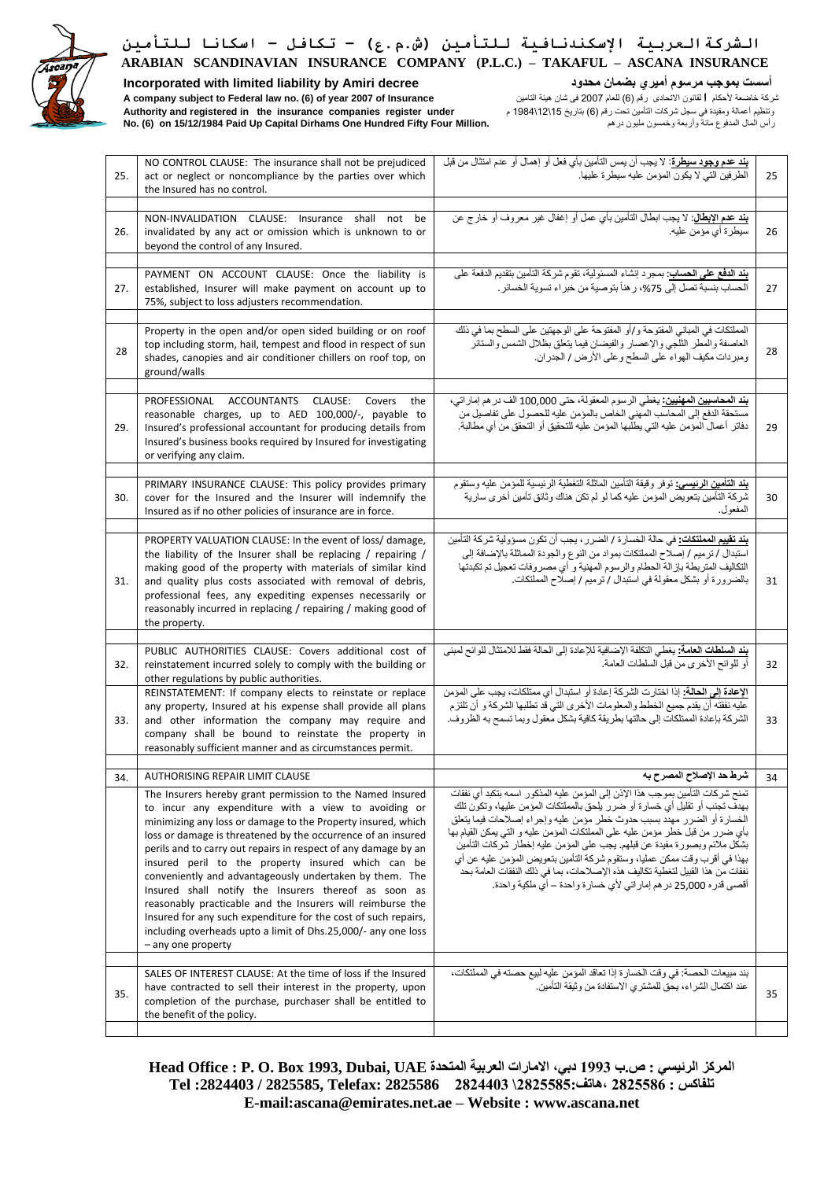

### **Incorporated with limited liability by Amiri decree محدود بضمان أميري مرسوم بموجب أسست**

شركة خاضعة ألحكام **ا**لقانون االتحادى رقم )6( للعام 2007 فى شان هيئة التامين **Insurance of 2007 year of) 6 (.no law Federal to subject company A** وتنظيم أعمالة ومقيدة في سجل شركات التأمين تحت رقم )6( بتاريخ 15\ 12\ 1984 م **under register companies insurance the in registered and Authority No. (6) on 15/12/1984 Paid Up Capital Dirhams One Hundred Fifty Four Million.** درهم مليون وخمسون وأربعة مائة المدفوع المال رأس

| 25. | NO CONTROL CLAUSE: The insurance shall not be prejudiced<br>act or neglect or noncompliance by the parties over which<br>the Insured has no control.                                                                                                                                                                                                                                                                                                                                                                                                                                                                                                                                                               | بِنْد عدم وجود سيطرة: لا يجب أن يمس التأمين بأي فعل أو إهمال أو عدم امتثال من قبل<br>الطرفين التي لا يكون المؤمن عليه سيطرة عليها.                                                                                                                                                                                                                                                                                                                                                                                                                                                                                                             | 25 |
|-----|--------------------------------------------------------------------------------------------------------------------------------------------------------------------------------------------------------------------------------------------------------------------------------------------------------------------------------------------------------------------------------------------------------------------------------------------------------------------------------------------------------------------------------------------------------------------------------------------------------------------------------------------------------------------------------------------------------------------|------------------------------------------------------------------------------------------------------------------------------------------------------------------------------------------------------------------------------------------------------------------------------------------------------------------------------------------------------------------------------------------------------------------------------------------------------------------------------------------------------------------------------------------------------------------------------------------------------------------------------------------------|----|
| 26. | NON-INVALIDATION CLAUSE: Insurance shall not be<br>invalidated by any act or omission which is unknown to or<br>beyond the control of any Insured.                                                                                                                                                                                                                                                                                                                                                                                                                                                                                                                                                                 | <mark>بند عدم الإبطال</mark> : لا يجب ابطال التأمين بأي عمل أو إغفال غير معروف أو خارج عن<br>سيطرة أي مؤمن عليه.                                                                                                                                                                                                                                                                                                                                                                                                                                                                                                                               | 26 |
| 27. | PAYMENT ON ACCOUNT CLAUSE: Once the liability is<br>established, Insurer will make payment on account up to<br>75%, subject to loss adjusters recommendation.                                                                                                                                                                                                                                                                                                                                                                                                                                                                                                                                                      | بِنْد الدفع على الحسابِ: بمجرد إنشاء المسئولية، تقوم شركة التأمين بتقديم الدفعة على<br>الحساب بنسبة تصل إلى 75%، ر هنأ بتوصية من خبر اء تسوية الخسائر .                                                                                                                                                                                                                                                                                                                                                                                                                                                                                        | 27 |
| 28  | Property in the open and/or open sided building or on roof<br>top including storm, hail, tempest and flood in respect of sun<br>shades, canopies and air conditioner chillers on roof top, on<br>ground/walls                                                                                                                                                                                                                                                                                                                                                                                                                                                                                                      | المملتكات في المباني المفتوحة و/أو المفتوحة على الوجهتين على السطح بما في ذلك<br>العاصفة والمطر الثلجي والإعصار والفيضان فيما يتعلق بظلال الشمس والستائر<br>ومبردات مكيف الهواء على السطح وعلى الأرض / الجدران.                                                                                                                                                                                                                                                                                                                                                                                                                                | 28 |
| 29. | PROFESSIONAL ACCOUNTANTS CLAUSE: Covers<br>the<br>reasonable charges, up to AED 100,000/-, payable to<br>Insured's professional accountant for producing details from<br>Insured's business books required by Insured for investigating<br>or verifying any claim.                                                                                                                                                                                                                                                                                                                                                                                                                                                 | <mark>بند المحاسبين المهنيين:</mark> يغطي الرسوم المعقولة، حتى 100,000 الف در هم إمار اتي،<br>مستحقة الدفع إلى المحاسب المهنى الخاص بالمؤمن عليه للحصول على تفاصيل من<br>دفاتر أعمالٌ المؤمن عليه التي يطلُّبها المؤمن عليه للتحقيق أو التحقق من أي مطالبة.                                                                                                                                                                                                                                                                                                                                                                                    | 29 |
| 30. | PRIMARY INSURANCE CLAUSE: This policy provides primary<br>cover for the Insured and the Insurer will indemnify the<br>Insured as if no other policies of insurance are in force.                                                                                                                                                                                                                                                                                                                                                                                                                                                                                                                                   | <b>بند التأمين الرنيسي:</b> توفر وقيقة التأمين الماثلة التغطية الرئيسية للمؤمن عليه وستقوم<br>شركة التأمين بتعويض المؤمن عليه كما لو لم تكن هناك وثائق تأمين أخرى سارية<br>المفعول.                                                                                                                                                                                                                                                                                                                                                                                                                                                            | 30 |
| 31. | PROPERTY VALUATION CLAUSE: In the event of loss/ damage,<br>the liability of the Insurer shall be replacing / repairing /<br>making good of the property with materials of similar kind<br>and quality plus costs associated with removal of debris,<br>professional fees, any expediting expenses necessarily or<br>reasonably incurred in replacing / repairing / making good of<br>the property.                                                                                                                                                                                                                                                                                                                | <b>بند تقييم المملتكات:</b> في حالة الخسارة / الضرر، يجب أن تكون مسؤولية شركة التأمين<br>استبدال / ترميم / إصلاح المملتكات بمواد من النوع والجودة المماثلة بالإضافة إلى<br>التكاليف المتربطة بإزالة الحطام والرسوم المهنية و أي مصروفات تعجيل تم تكبدتها<br>بالضرورة أو بشكل معقولة في استبدال / ترميم / إصلاح المملتكات.                                                                                                                                                                                                                                                                                                                      | 31 |
|     |                                                                                                                                                                                                                                                                                                                                                                                                                                                                                                                                                                                                                                                                                                                    |                                                                                                                                                                                                                                                                                                                                                                                                                                                                                                                                                                                                                                                |    |
| 32. | PUBLIC AUTHORITIES CLAUSE: Covers additional cost of<br>reinstatement incurred solely to comply with the building or<br>other regulations by public authorities.                                                                                                                                                                                                                                                                                                                                                                                                                                                                                                                                                   | <mark>بند السلطات العامة:</mark> يغطي التكلفة الإضافية للإعادة إلى الحالة فقط للامتثال للوائح لمبنى<br>أو للوائح الأخرى من قبل السلطات العامة.                                                                                                                                                                                                                                                                                                                                                                                                                                                                                                 | 32 |
| 33. | REINSTATEMENT: If company elects to reinstate or replace<br>any property, Insured at his expense shall provide all plans<br>and other information the company may require and<br>company shall be bound to reinstate the property in<br>reasonably sufficient manner and as circumstances permit.                                                                                                                                                                                                                                                                                                                                                                                                                  | الإعادة إلى الحالة: إذا اختارت الشركة إعادة أو استبدال أي ممتلكات، يجب على المؤمن<br>عليه نفقته أن يقدم جميع الخطط والمعلومات الأخرى التي قد تطلبها الشركة و أن تلتزم<br>الشركة بإعادة الممتلكات إلى حالتها بطريقة كافية بشكل معقول وبما تسمح به الظروف.                                                                                                                                                                                                                                                                                                                                                                                       | 33 |
| 34. | <b>AUTHORISING REPAIR LIMIT CLAUSE</b>                                                                                                                                                                                                                                                                                                                                                                                                                                                                                                                                                                                                                                                                             | شرط حد الإصلاح المصرح به                                                                                                                                                                                                                                                                                                                                                                                                                                                                                                                                                                                                                       | 34 |
|     | The Insurers hereby grant permission to the Named Insured<br>to incur any expenditure with a view to avoiding or<br>minimizing any loss or damage to the Property insured, which<br>loss or damage is threatened by the occurrence of an insured<br>perils and to carry out repairs in respect of any damage by an<br>insured peril to the property insured which can be<br>conveniently and advantageously undertaken by them. The<br>Insured shall notify the Insurers thereof as soon as<br>reasonably practicable and the Insurers will reimburse the<br>Insured for any such expenditure for the cost of such repairs,<br>including overheads upto a limit of Dhs.25,000/- any one loss<br>- any one property | تمنح شركات التأمين بموجب هذا الإذن إلى المؤمن عليه المذكور اسمه بتكبد أي نفقات<br>بهدف تجنب أو تقليل أي خسارة أو ضررر يلحق بالمملتكات المؤمن عليها، وتكون تلك<br>الخسارة أو الضرر مهدد بسبب حدوث خطر مؤمن عليه وإجراء إصلاحات فيما يتعلق<br>بأي ضرر من قبل خطر مؤمن عليه على المملتكات المؤمن عليه و التي يمكن القيام بها<br>بشكل ملائم وبصورة مفيدة عن قبلهم. يجب على المؤمن عليه إخطار شركات التأمين<br>بهذا في أقرب وقت ممكن عمليا، وستقوم شركة التأمين بتعويض المؤمن عليه عن أي<br>نفقات من هذا القبيل لتغطية تكاليف هذه الإصلاحات، بما في ذلك النفقات العامة بحد<br>أقصـي قدر ه 25,000 در هم إمار اتـي لأي خسار ة واحدة – أي ملكية واحدة. |    |
|     |                                                                                                                                                                                                                                                                                                                                                                                                                                                                                                                                                                                                                                                                                                                    |                                                                                                                                                                                                                                                                                                                                                                                                                                                                                                                                                                                                                                                |    |
| 35. | SALES OF INTEREST CLAUSE: At the time of loss if the Insured<br>have contracted to sell their interest in the property, upon<br>completion of the purchase, purchaser shall be entitled to<br>the benefit of the policy.                                                                                                                                                                                                                                                                                                                                                                                                                                                                                           | بند مبيعات الحصة: في وقت الخسارة إذا تعاقد المؤمن عليه لبيع حصته في المملتكات،<br>عند اكتمال الشراء، يحق للمشترى الاستفادة من وثيقة التأمين.                                                                                                                                                                                                                                                                                                                                                                                                                                                                                                   | 35 |
|     |                                                                                                                                                                                                                                                                                                                                                                                                                                                                                                                                                                                                                                                                                                                    |                                                                                                                                                                                                                                                                                                                                                                                                                                                                                                                                                                                                                                                |    |

المركز الرئي*سي* : ص.ب 1993 دبي، الامارات العربية المتحدة Head Office : P. O. Box 1993, Dubai, UAE **تلفاكس : 2825586 ،هاتف2825585:\ 2824403 2825586 :Telefax 2825585, / :2824403 Tel E-mail:ascana@emirates.net.ae – Website : www.ascana.net**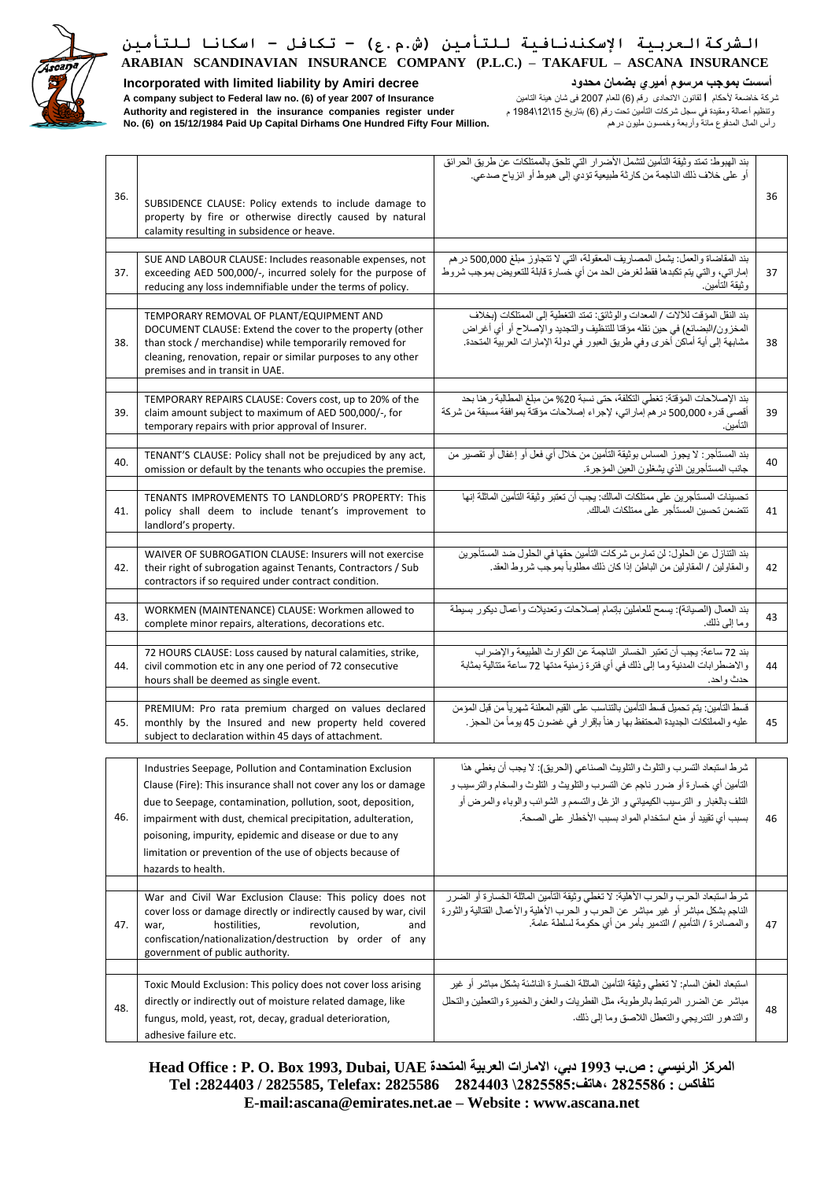

**Incorporated with limited liability by Amiri decree محدود بضمان أميري مرسوم بموجب أسست**

شركة خاضعة ألحكام **ا**لقانون االتحادى رقم )6( للعام 2007 فى شان هيئة التامين **Insurance of 2007 year of) 6 (.no law Federal to subject company A** وتنظيم أعمالة ومقيدة في سجل شركات التأمين تحت رقم )6( بتاريخ 15\ 12\ 1984 م **under register companies insurance the in registered and Authority No. (6) on 15/12/1984 Paid Up Capital Dirhams One Hundred Fifty Four Million.** درهم مليون وخمسون وأربعة مائة المدفوع المال رأس

|     |                                                                                                                                                                                                                                                                                                                                                                                                          | بند الهبوط: تمتد وثيقة التأمين لتشمل الأضرار التي تلحق بالممتلكات عن طريق الحرائق<br>أو على خلاف ذلك الناجمة من كارثة طبيعية تؤدي إلى هبوط أو انزياح صدعي.                                                                                                                                              |    |
|-----|----------------------------------------------------------------------------------------------------------------------------------------------------------------------------------------------------------------------------------------------------------------------------------------------------------------------------------------------------------------------------------------------------------|---------------------------------------------------------------------------------------------------------------------------------------------------------------------------------------------------------------------------------------------------------------------------------------------------------|----|
| 36. | SUBSIDENCE CLAUSE: Policy extends to include damage to<br>property by fire or otherwise directly caused by natural<br>calamity resulting in subsidence or heave.                                                                                                                                                                                                                                         |                                                                                                                                                                                                                                                                                                         | 36 |
|     |                                                                                                                                                                                                                                                                                                                                                                                                          |                                                                                                                                                                                                                                                                                                         |    |
| 37. | SUE AND LABOUR CLAUSE: Includes reasonable expenses, not<br>exceeding AED 500,000/-, incurred solely for the purpose of<br>reducing any loss indemnifiable under the terms of policy.                                                                                                                                                                                                                    | بند المقاضاة والعمل: يشمل المصاريف المعقولة، التي لا تتجاوز مبلغ 500,000 درهم<br>إماراتي، والتي يتم تكبدها فقط لغرض الحد من أي خسارة قابلة للتعويض بموجب شروط<br>و ثبقة التامين.                                                                                                                        | 37 |
|     |                                                                                                                                                                                                                                                                                                                                                                                                          |                                                                                                                                                                                                                                                                                                         |    |
| 38. | TEMPORARY REMOVAL OF PLANT/EQUIPMENT AND<br>DOCUMENT CLAUSE: Extend the cover to the property (other<br>than stock / merchandise) while temporarily removed for<br>cleaning, renovation, repair or similar purposes to any other<br>premises and in transit in UAE.                                                                                                                                      | بند النقل المؤقت للآلات / المعدات والوثائق: تمتد التغطية إلى الممتلكات (بخلاف<br>المخزون/البضائع) في حين نقله مؤقتا للتنظيف والتجديد والإصلاح أو أي أغراض<br>مشابهة إلى أية أماكن أخرى وفي طريق العبور في دولة الإمارات العربية المتحدة.                                                                | 38 |
| 39. | TEMPORARY REPAIRS CLAUSE: Covers cost, up to 20% of the<br>claim amount subject to maximum of AED 500,000/-, for<br>temporary repairs with prior approval of Insurer.                                                                                                                                                                                                                                    | بند الإصلاحات المؤقتة: تغطي التكلفة، حتى نسبة 20% من مبلغ المطالبة ر هنا بحد<br>أقصىي قدر ه 500,000 در هم إماراتي، لإجراء إصلاحات مؤقتة بموافقة مسبقة من شركة<br>التأمين.                                                                                                                               | 39 |
| 40. | TENANT'S CLAUSE: Policy shall not be prejudiced by any act,<br>omission or default by the tenants who occupies the premise.                                                                                                                                                                                                                                                                              | بند المستأجر : لا يجوز المساس بوثيقة التأمين من خلال أي فعل أو إغفال أو تقصير من<br>جانب المستأجرين الذي يشغلون العين المؤجرة.                                                                                                                                                                          | 40 |
| 41. | TENANTS IMPROVEMENTS TO LANDLORD'S PROPERTY: This<br>policy shall deem to include tenant's improvement to<br>landlord's property.                                                                                                                                                                                                                                                                        | تحسينات المستأجرين على ممتلكات المالك: يجب أن تعتبر وثيقة التأمين الماثلة إنها<br>تتضمن تحسين المستأجر على ممتلكات المالك.                                                                                                                                                                              | 41 |
| 42. | WAIVER OF SUBROGATION CLAUSE: Insurers will not exercise<br>their right of subrogation against Tenants, Contractors / Sub<br>contractors if so required under contract condition.                                                                                                                                                                                                                        | بند التنازل عن الحلول: لن تمارس شركات التأمين حقها في الحلول ضد المستأجرين<br>والمقاولين / المقاولين من الباطن إذا كان ذلك مطلوباً بموجب شروط العقد.                                                                                                                                                    | 42 |
| 43. | WORKMEN (MAINTENANCE) CLAUSE: Workmen allowed to<br>complete minor repairs, alterations, decorations etc.                                                                                                                                                                                                                                                                                                | بند العمال (الصيانة): يسمح للعاملين بإتمام إصلاحات وتعديلات وأعمال ديكور بسيطة<br>وما إلى ذلك.                                                                                                                                                                                                          | 43 |
| 44. | 72 HOURS CLAUSE: Loss caused by natural calamities, strike,<br>civil commotion etc in any one period of 72 consecutive<br>hours shall be deemed as single event.                                                                                                                                                                                                                                         | بند 72 ساعة: يجب أن تعتبر  الخسائر  الناجمة عن الكو ار ث الطبيعة و الإضر اب<br>والاضطرابات المدنية وما إلى ذلك في أي فترة زمنية مدتها 72 ساعة متتالية بمثابة<br>حدث واحد.                                                                                                                               | 44 |
| 45. | PREMIUM: Pro rata premium charged on values declared<br>monthly by the Insured and new property held covered<br>subject to declaration within 45 days of attachment.                                                                                                                                                                                                                                     | قسط التأمين: يتم تحميل قسط التأمين بالتناسب على القيم المعلنة شهرياً من قبل المؤمن<br>عليه والمملتكات الجديدة المحتفظ بها ر هنأ بإقرار في غضون 45 يوماً من الحجز .                                                                                                                                      | 45 |
| 46. | Industries Seepage, Pollution and Contamination Exclusion<br>Clause (Fire): This insurance shall not cover any los or damage<br>due to Seepage, contamination, pollution, soot, deposition,<br>impairment with dust, chemical precipitation, adulteration,<br>poisoning, impurity, epidemic and disease or due to any<br>limitation or prevention of the use of objects because of<br>hazards to health. | شرط استبعاد التسرب والتلوث والتلويث الصناعي (الحريق): لا يجب أن يغطي هذا<br>التأمين أي خسارة أو ضرر ناجم عن التسرب والتلويث و التلوث والسخام والترسيب و<br>النلف بالغبار و النرسيب الكيميائي و الزغل والتسمم و الشوائب والوباء والمرض أو<br>بسبب أي تقييد أو منع استخدام المواد بسبب الأخطار على الصحة. | 46 |
| 47. | War and Civil War Exclusion Clause: This policy does not<br>cover loss or damage directly or indirectly caused by war, civil<br>hostilities,<br>revolution,<br>and<br>war,<br>confiscation/nationalization/destruction by order of any<br>government of public authority.                                                                                                                                | شرط استبعاد الحرب والحرب الأهلية: لا تغطي وثيقة التأمين الماثلة الخسارة أو الضرر<br>الناجم بشكل مباشر أو غير مباشر عن الحرب و الحرب الأهلية والأعمال القتالية والثورة<br>والمصـادرة / التأميم / التدمير بـأمر من أي حكومة لسلطة عامة.                                                                   | 47 |
|     |                                                                                                                                                                                                                                                                                                                                                                                                          |                                                                                                                                                                                                                                                                                                         |    |
| 48. | Toxic Mould Exclusion: This policy does not cover loss arising<br>directly or indirectly out of moisture related damage, like<br>fungus, mold, yeast, rot, decay, gradual deterioration,<br>adhesive failure etc.                                                                                                                                                                                        | استبعاد العفن السام: لا تغطي وثيقة التأمين الماثلة الخسارة الناشئة بشكل مباشر أو غير<br>مباشر عن الضرر المرتبط بالرطوبة، مثل الفطريات والعفن والخميرة والتعطين والتحلل<br>والتدهور التدريجي والتعطل اللاصق وما إلى ذلك.                                                                                 | 48 |

المركز الرئي*سي* : ص.ب 1993 دبي، الامارات العربية المتحدة Head Office : P. O. Box 1993, Dubai, UAE **تلفاكس : 2825586 ،هاتف2825585:\ 2824403 2825586 :Telefax 2825585, / :2824403 Tel E-mail:ascana@emirates.net.ae – Website : www.ascana.net**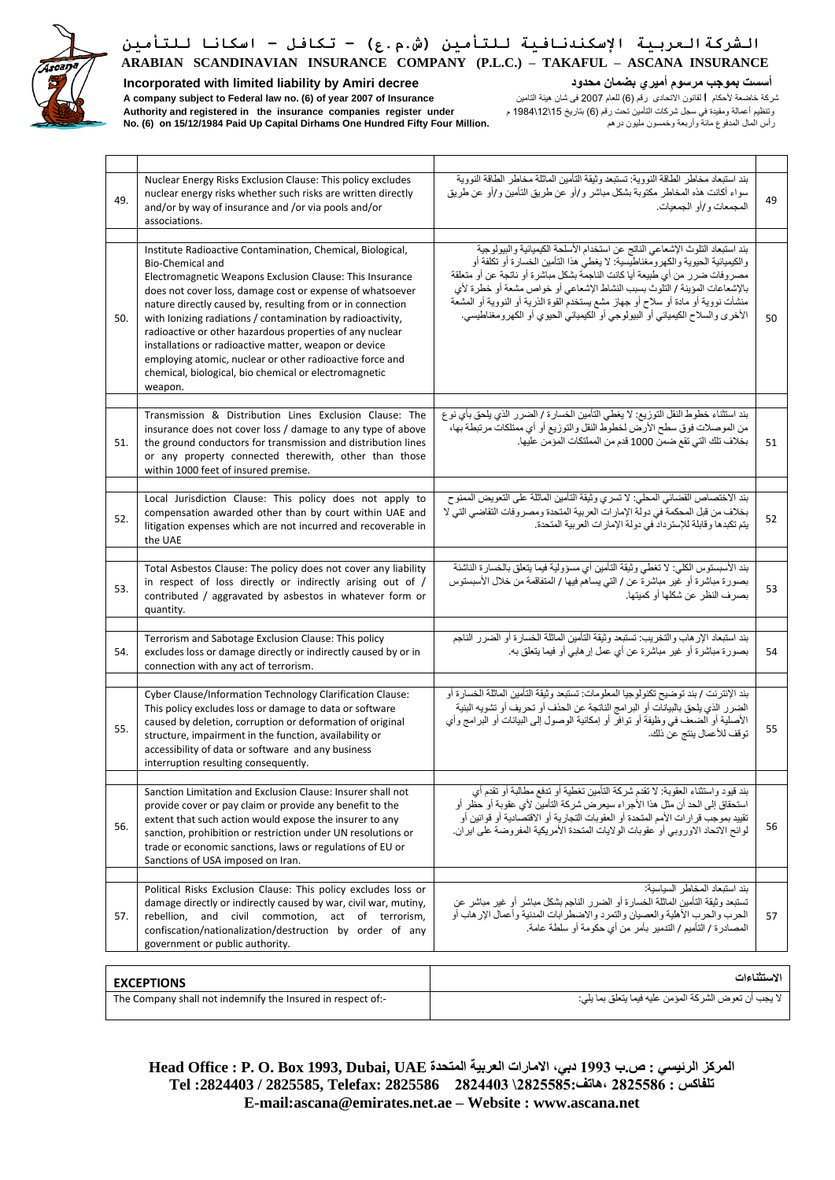

### **Incorporated with limited liability by Amiri decree محدود بضمان أميري مرسوم بموجب أسست**

شركة خاضعة ألحكام **ا**لقانون االتحادى رقم )6( للعام 2007 فى شان هيئة التامين **Insurance of 2007 year of) 6 (.no law Federal to subject company A** وتنظيم أعمالة ومقيدة في سجل شركات التأمين تحت رقم )6( بتاريخ 15\ 12\ 1984 م **under register companies insurance the in registered and Authority No. (6) on 15/12/1984 Paid Up Capital Dirhams One Hundred Fifty Four Million.** درهم مليون وخمسون وأربعة مائة المدفوع المال رأس

| 49. | Nuclear Energy Risks Exclusion Clause: This policy excludes<br>nuclear energy risks whether such risks are written directly<br>and/or by way of insurance and /or via pools and/or<br>associations.                                                                                                                                                                                                                                                                                                                                                                                      | بند استبعاد مخاطر الطاقة النووية: تستبعد وثيقة التأمين الماثلة مخاطر الطاقة النووية<br>سواء أكانت هذه المخاطر مكتوبة بشكل مباشر و/أو عن طريق التأمين و/أو عن طريق<br>المجمعات و /أو الجمعيات.                                                                                                                                                                                                                                                                                                  | 49          |
|-----|------------------------------------------------------------------------------------------------------------------------------------------------------------------------------------------------------------------------------------------------------------------------------------------------------------------------------------------------------------------------------------------------------------------------------------------------------------------------------------------------------------------------------------------------------------------------------------------|------------------------------------------------------------------------------------------------------------------------------------------------------------------------------------------------------------------------------------------------------------------------------------------------------------------------------------------------------------------------------------------------------------------------------------------------------------------------------------------------|-------------|
| 50. | Institute Radioactive Contamination, Chemical, Biological,<br>Bio-Chemical and<br>Electromagnetic Weapons Exclusion Clause: This Insurance<br>does not cover loss, damage cost or expense of whatsoever<br>nature directly caused by, resulting from or in connection<br>with lonizing radiations / contamination by radioactivity,<br>radioactive or other hazardous properties of any nuclear<br>installations or radioactive matter, weapon or device<br>employing atomic, nuclear or other radioactive force and<br>chemical, biological, bio chemical or electromagnetic<br>weapon. | بند استبعاد التلوث الإشعاعي الناتج عن استخدام الأسلحة الكيميائية والبيولوجية<br>والكيميائية الحيوية والكهرومغناطيسية: لا يغطي هذا التأمين الخسارة أو تكلفة أو<br>مصروفات ضرر من أي طبيعة أيا كانت الناجمة بشكل مباشرة أو ناتجة عن أو متعلقة<br>بالإشعاعات المؤينة / التُّلوث بسبب النشاط الإشعاعي أو خواص مشعة أو خطرة لأي<br>منشآت نووية أو مادة أو سلاح أو جهاز مشع يستخدم القوة الذرية أو النووية أو المشعة<br>الأخرى والسلاح الكيميائي أو البيولوجي أو الكيميائي الحيوي أو الكهرومغناطيسي. | 50          |
| 51. | Transmission & Distribution Lines Exclusion Clause: The<br>insurance does not cover loss / damage to any type of above<br>the ground conductors for transmission and distribution lines<br>or any property connected therewith, other than those<br>within 1000 feet of insured premise.                                                                                                                                                                                                                                                                                                 | بند استثناء خطوط النقل التوزيع: لا يغطي التأمين الخسارة / الضررر الذي يلحق بأي نوع<br>من الموصلات فوق سطح الأرص لخطوط النقل والتوزيع أو أي ممتلكات مرتبطة بها،<br>بخلاف تلك التي تقع ضمن 1000 قدم من المملتكات المؤمن عليها.                                                                                                                                                                                                                                                                   | 51          |
| 52. | Local Jurisdiction Clause: This policy does not apply to<br>compensation awarded other than by court within UAE and<br>litigation expenses which are not incurred and recoverable in<br>the UAE                                                                                                                                                                                                                                                                                                                                                                                          | بند الاختصاص القضائي المحلي: لا تسري وثيقة التأمين الماثلة على التعويض الممنوح<br>بخلاف من قبل المحكمة في دولة الإمارات العربية المتحدة ومصروفات التقاضي التي لا<br>يتم تكبدها وقابلة للإسترداد في دولة الإمارات العربية المتحدة.                                                                                                                                                                                                                                                              | 52          |
| 53. | Total Asbestos Clause: The policy does not cover any liability<br>in respect of loss directly or indirectly arising out of /<br>contributed / aggravated by asbestos in whatever form or<br>quantity.                                                                                                                                                                                                                                                                                                                                                                                    | بند الأسبستوس الكلي: لا تغطي وثيقة التأمين أي مسؤولية فيما يتعلق بالخسارة الناشئة<br>بصورة مباشرة أو غير مباشرة عن / التي يساهم فيها / المتفاقمة من خلال الأسبستوس<br>بصر ف النظر   عن شكلها أو  كميتها.                                                                                                                                                                                                                                                                                       | 53          |
| 54. | Terrorism and Sabotage Exclusion Clause: This policy<br>excludes loss or damage directly or indirectly caused by or in<br>connection with any act of terrorism.                                                                                                                                                                                                                                                                                                                                                                                                                          | بند استبعاد الإر هاب والتخريب: تستبعد وثيقة التأمين الماثلة الخسارة أو الضرر الناجم<br>بصورة مباشرة أو غير مباشرة عن أي عمل إرهابي أو فيما يتعلق به.                                                                                                                                                                                                                                                                                                                                           | 54          |
| 55. | Cyber Clause/Information Technology Clarification Clause:<br>This policy excludes loss or damage to data or software<br>caused by deletion, corruption or deformation of original<br>structure, impairment in the function, availability or<br>accessibility of data or software and any business<br>interruption resulting consequently.                                                                                                                                                                                                                                                | بند الإنترنت / بند توضيح تكنولوجيا المعلومات: تستبعد وثيقة التأمين الماثلة الخسارة أو<br>الضرر الذي يلحق بالبيانات أو البرامج الناتجة عن الحذف أو تحريف أو تشويه البنية<br>الأصلية أو الضعف في وظيفة أو توافر أو إمكانية الوصول إلى البيانات أو البر امج وأي<br>توقف للأعمال ينتج عن ذلك.                                                                                                                                                                                                      | 55          |
| 56. | Sanction Limitation and Exclusion Clause: Insurer shall not<br>provide cover or pay claim or provide any benefit to the<br>extent that such action would expose the insurer to any<br>sanction, prohibition or restriction under UN resolutions or<br>trade or economic sanctions, laws or regulations of EU or<br>Sanctions of USA imposed on Iran.                                                                                                                                                                                                                                     | بند قيود واستثناء العقوبة: لا تقدم شركة التأمين تغطية أو تدفع مطالبة أو تقدم أي<br>استحقاق إلى الحد أن مثل هذا الأجر اء سيعر ض شركة التأمين لأي عقوبة أو حظر أو<br>تقييد بموجب قرارات الأمم المتحدة أو العقوبات التجارية أو الاقتصادية أو قوانين أو<br>لوائح الاتحاد الاوروبي أو عقوبات الولايات المتحدة الأمريكية المفروضة على ايران.                                                                                                                                                         | 56          |
| 57. | Political Risks Exclusion Clause: This policy excludes loss or<br>damage directly or indirectly caused by war, civil war, mutiny,<br>rebellion, and civil commotion, act of terrorism,<br>confiscation/nationalization/destruction by order of any<br>government or public authority.                                                                                                                                                                                                                                                                                                    | بند استبعاد المخاطر السياسية:<br>تستبعد وثيقة التأمين الماثلة الخسارة أو الضرر الناجم بشكل مباشر أو غير مباشر عن<br>الحرب والحرب الأهلية والعصيان والتمرد والاضطرابات المدنية وأعمال الإرهاب أو<br>المصـادرة / التأميم / التدمير بأمر من أي حكومة أو سلطة عامة.                                                                                                                                                                                                                                | 57          |
|     |                                                                                                                                                                                                                                                                                                                                                                                                                                                                                                                                                                                          |                                                                                                                                                                                                                                                                                                                                                                                                                                                                                                | الاستثناءات |
|     | <b>EXCEPTIONS</b><br>The Company shall not indemnify the Insured in respect of:-                                                                                                                                                                                                                                                                                                                                                                                                                                                                                                         | لا يجب أن تعوض الشركة المؤمن عليه فيما يتعلق بما يلي:                                                                                                                                                                                                                                                                                                                                                                                                                                          |             |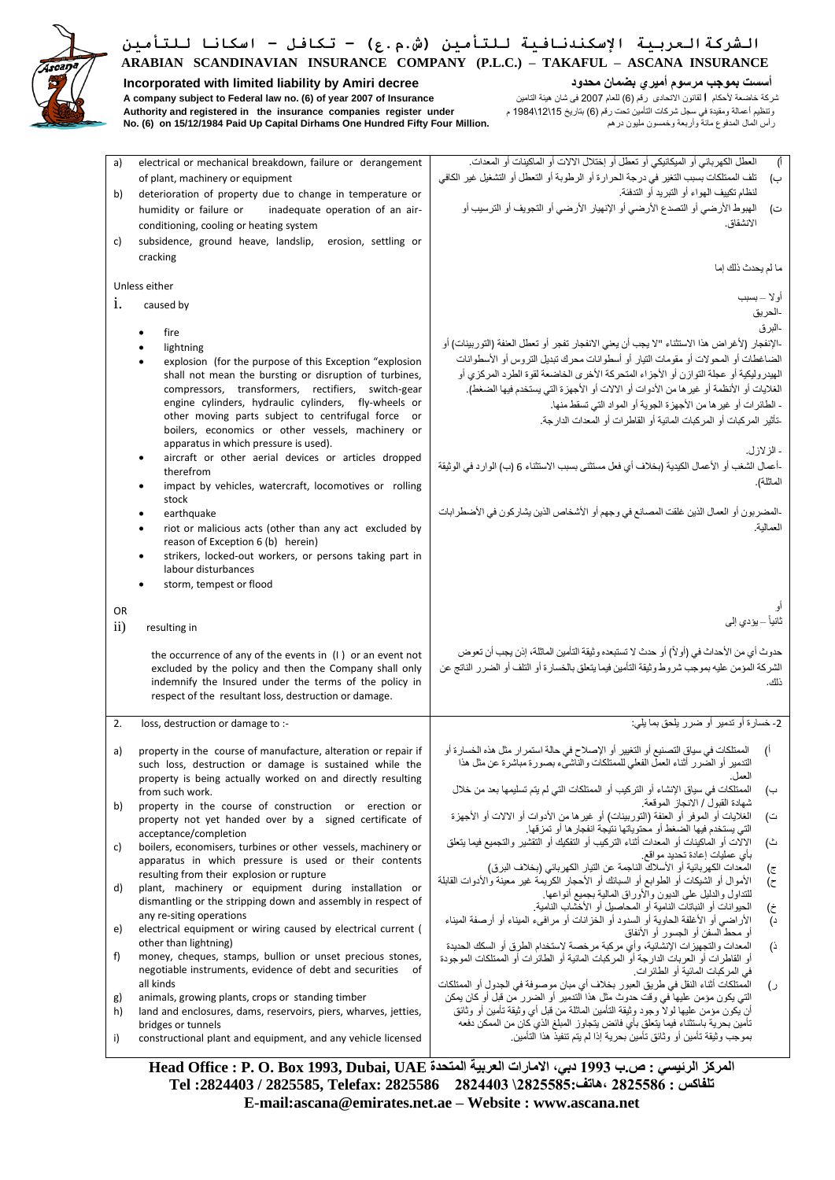

**Incorporated with limited liability by Amiri decree محدود بضمان أميري مرسوم بموجب أسست** شركة خاضعة ألحكام **ا**لقانون االتحادى رقم )6( للعام 2007 فى شان هيئة التامين **Insurance of 2007 year of) 6 (.no law Federal to subject company A** وتنظيم أعمالة ومقيدة في سجل شركات التأمين تحت رقم )6( بتاريخ 15\ 12\ 1984 م **under register companies insurance the in registered and Authority No. (6) on 15/12/1984 Paid Up Capital Dirhams One Hundred Fifty Four Million.** درهم مليون وخمسون وأربعة مائة المدفوع المال رأس

| a)        | electrical or mechanical breakdown, failure or derangement                                                           | العطل الكهربائي أو الميكانيكي أو تعطل أو إختلال الالات أو الماكينات أو المعدات.<br>Ű.                                                                                                          |
|-----------|----------------------------------------------------------------------------------------------------------------------|------------------------------------------------------------------------------------------------------------------------------------------------------------------------------------------------|
|           | of plant, machinery or equipment                                                                                     | تلف الممتلكات بسبب التغير في درجة الحرارة أو الرطوبة أو التعطل أو التشغيل غير الكافي<br>ب)                                                                                                     |
| b)        | deterioration of property due to change in temperature or                                                            | لنظام تكييف الهواء أو التبريد أو التدفئة.                                                                                                                                                      |
|           | humidity or failure or<br>inadequate operation of an air-                                                            | الهبوط الأرضي أو التصدع الأرضي أو الإنهيار الأرضي أو التجويف أو الترسيب أو<br>ت)                                                                                                               |
|           | conditioning, cooling or heating system                                                                              | الانشقاق.                                                                                                                                                                                      |
| c)        | subsidence, ground heave, landslip,<br>erosion, settling or                                                          |                                                                                                                                                                                                |
|           | cracking                                                                                                             |                                                                                                                                                                                                |
|           |                                                                                                                      | ما لم يحدث ذلك إما                                                                                                                                                                             |
|           | Unless either                                                                                                        |                                                                                                                                                                                                |
| i.        | caused by                                                                                                            | أو لا _ بسبب                                                                                                                                                                                   |
|           |                                                                                                                      | -الحريق                                                                                                                                                                                        |
|           | fire                                                                                                                 | -البر ق                                                                                                                                                                                        |
|           | lightning                                                                                                            | -الإنفجار (لأغراض هذا الاستثناء "لا يجب أن يعني الانفجار تفجر أو تعطل العنفة (التوربينات) أو                                                                                                   |
|           | explosion (for the purpose of this Exception "explosion"                                                             | الضاغطات أو المحولات أو مقومات التيار أو أسطوانات محرك تبديل التروس أو الأسطوانات                                                                                                              |
|           | shall not mean the bursting or disruption of turbines,                                                               | الهيدروليكية أو عجلة التوازن أو الأجزاء المتحركة الأخرى الخاضعة لقوة الطرد المركزي أو                                                                                                          |
|           | compressors, transformers, rectifiers, switch-gear                                                                   | الغلايات أو الأنظمة أو غير ها من الأدوات أو الالات أو الأجهزة التي يستخدم فيها الضغط).                                                                                                         |
|           | engine cylinders, hydraulic cylinders, fly-wheels or                                                                 | - الطائرات أو غير ها من الأجهزة الجوية أو المواد التي تسقط منها.                                                                                                                               |
|           | other moving parts subject to centrifugal force or                                                                   | -تأثير المركبات أو المركبات المائية أو القاطرات أو المعدات الدارجة.                                                                                                                            |
|           | boilers, economics or other vessels, machinery or                                                                    |                                                                                                                                                                                                |
|           | apparatus in which pressure is used).                                                                                | - الز لاز ل.                                                                                                                                                                                   |
|           | aircraft or other aerial devices or articles dropped                                                                 | -أعمال الشغب أو الأعمال الكيدية (بخلاف أي فعل مستثنى بسبب الاستثناء 6 (ب) الوارد في الوثيقة                                                                                                    |
|           | therefrom                                                                                                            |                                                                                                                                                                                                |
|           | impact by vehicles, watercraft, locomotives or rolling                                                               | الماثلة).                                                                                                                                                                                      |
|           | stock                                                                                                                |                                                                                                                                                                                                |
|           | earthquake                                                                                                           | -المضربون أو العمال الذين غلقت المصانع في وجهم أو الأشخاص الذين يشاركون في الأضطرابات                                                                                                          |
|           | riot or malicious acts (other than any act excluded by                                                               | العمالية.                                                                                                                                                                                      |
|           | reason of Exception 6 (b) herein)                                                                                    |                                                                                                                                                                                                |
|           | strikers, locked-out workers, or persons taking part in<br>labour disturbances                                       |                                                                                                                                                                                                |
|           | storm, tempest or flood                                                                                              |                                                                                                                                                                                                |
|           |                                                                                                                      |                                                                                                                                                                                                |
| OR        |                                                                                                                      |                                                                                                                                                                                                |
|           |                                                                                                                      |                                                                                                                                                                                                |
|           |                                                                                                                      | ثانياً – يؤدي إلى                                                                                                                                                                              |
| $\rm ii)$ | resulting in                                                                                                         |                                                                                                                                                                                                |
|           | the occurrence of any of the events in $(1)$ or an event not                                                         | حدوث أي من الأحداث في (أو لأ) أو حدث لا تستبعده وثيقة التأمين الماثلة، إذن يجب أن تعوض                                                                                                         |
|           | excluded by the policy and then the Company shall only                                                               | الشركة المؤمن عليه بموجب شروط وثيقة التأمين فيما يتعلق بالخسارة أو التلف أو الضرر الناتج عن                                                                                                    |
|           | indemnify the Insured under the terms of the policy in                                                               | ذلك                                                                                                                                                                                            |
|           | respect of the resultant loss, destruction or damage.                                                                |                                                                                                                                                                                                |
|           |                                                                                                                      |                                                                                                                                                                                                |
| 2.        | loss, destruction or damage to :-                                                                                    | 2- خسارة أو تدمير أو ضرر يلحق بما يلي:                                                                                                                                                         |
|           |                                                                                                                      |                                                                                                                                                                                                |
| a)        | property in the course of manufacture, alteration or repair if                                                       | الممتلكات في سياق التصنيع أو التغيير أو الإصلاح في حالة استمر ار مثل هذه الخسارة أو<br>$\mathcal{O}$<br>التدمير أو الضُّرر أثناء العملُّ الفعلي للممتلكات والنَّاشيُّء بصورة مباشرة عن مثل هذا |
|           | such loss, destruction or damage is sustained while the                                                              | العمل.                                                                                                                                                                                         |
|           | property is being actually worked on and directly resulting<br>from such work.                                       | الممتلكات في سياق الإنشاء أو التركيب أو الممتلكات التي لم يتم تسليمها بعد من خلال<br>ب)                                                                                                        |
| b)        | property in the course of construction or erection or                                                                | شهادة القبول / الانجاز الموقعة                                                                                                                                                                 |
|           | property not yet handed over by a signed certificate of                                                              | الغلايات أو الموفر أو العنفة (التور بينات) أو غير ها من الأدوات أو الالات أو الأجهز ة<br>ت)                                                                                                    |
|           | acceptance/completion                                                                                                | التي يستخدم فيها الضغط أو محتوياتها نتيجة انفجار ها أو تمزقها.                                                                                                                                 |
| C)        | boilers, economisers, turbines or other vessels, machinery or                                                        | الالَّات أو الْماكينات أو المعدات أثناء التركيب أو التفكيك أو التقشير والتجميع فيما يتعلَّق<br>ث)                                                                                              |
|           | apparatus in which pressure is used or their contents                                                                | بأى عمليات إعادة تحديد مواقع.                                                                                                                                                                  |
|           | resulting from their explosion or rupture                                                                            | المعدات الكهربائية أو الأسلاك الناجمة عن التيار الكهربائي (بخلاف البرق)<br>(ट                                                                                                                  |
| d)        | plant, machinery or equipment during installation or                                                                 | الأموال أو الشيكات أو الطوابع أو السبانك أو الأحجار الكرَّيمُة غير معينةً والأدوات القابلة<br>(ح<br>للنداول والدليل على الديون والأوراق المالية بجميع أنواعها                                  |
|           | dismantling or the stripping down and assembly in respect of                                                         | الحيوانات أو النباتات النامية أو المحاصيل أو الأخشاب النامية.<br>(خ                                                                                                                            |
|           | any re-siting operations                                                                                             | الأراضـي أو الأغلفة الحاوية أو السدود أو الخزانات أو مرافـيء الميناء أو أرصفة الميناء<br>$\overline{c}$                                                                                        |
| e)        | electrical equipment or wiring caused by electrical current (                                                        | أو محط السفن أو الجسور أو الأنفاق                                                                                                                                                              |
|           | other than lightning)                                                                                                | المعدات و التجهيز ات الإنشائية، و أي مر كبة مر خصـه لاستخدام الطر ق أو  السكك الـحديدة<br>ذ)                                                                                                   |
| f)        | money, cheques, stamps, bullion or unset precious stones,                                                            | أو القاطرات أو العربات الدارجة أو المركبات المائية أو الطائرات أو الممتلكات الموجودة                                                                                                           |
|           | negotiable instruments, evidence of debt and securities<br>of                                                        | في المركبات المائية أو الطائر ات.                                                                                                                                                              |
|           | all kinds                                                                                                            | الممتلكات أثناء النقل في طريق العبور بخلاف أي مبان موصوفة في الجدول أو الممتلكات<br>(၂                                                                                                         |
| g)<br>h)  | animals, growing plants, crops or standing timber<br>land and enclosures, dams, reservoirs, piers, wharves, jetties, | التي يكون مؤمن عليها في وقت حدوث مثل هذا التدمير أو الضرر من قبل أو كان يمكن<br>أن يكون مؤمن عليها لولاً وجود وثيقة التأمين الماثلة من قبل أي وثيقة تأمين أو وثائق                             |
|           |                                                                                                                      | تأمين بحرية باستثناء فيما يتعلق بأى فائض يتجاوز المبلغ الذي كان من الممكن دفعه                                                                                                                 |
| i)        | bridges or tunnels<br>constructional plant and equipment, and any vehicle licensed                                   | بموجب وثيقة تأمين أو وثائق تأمين بحرية إذا لم يتم تنفيذ هذا التأمين.                                                                                                                           |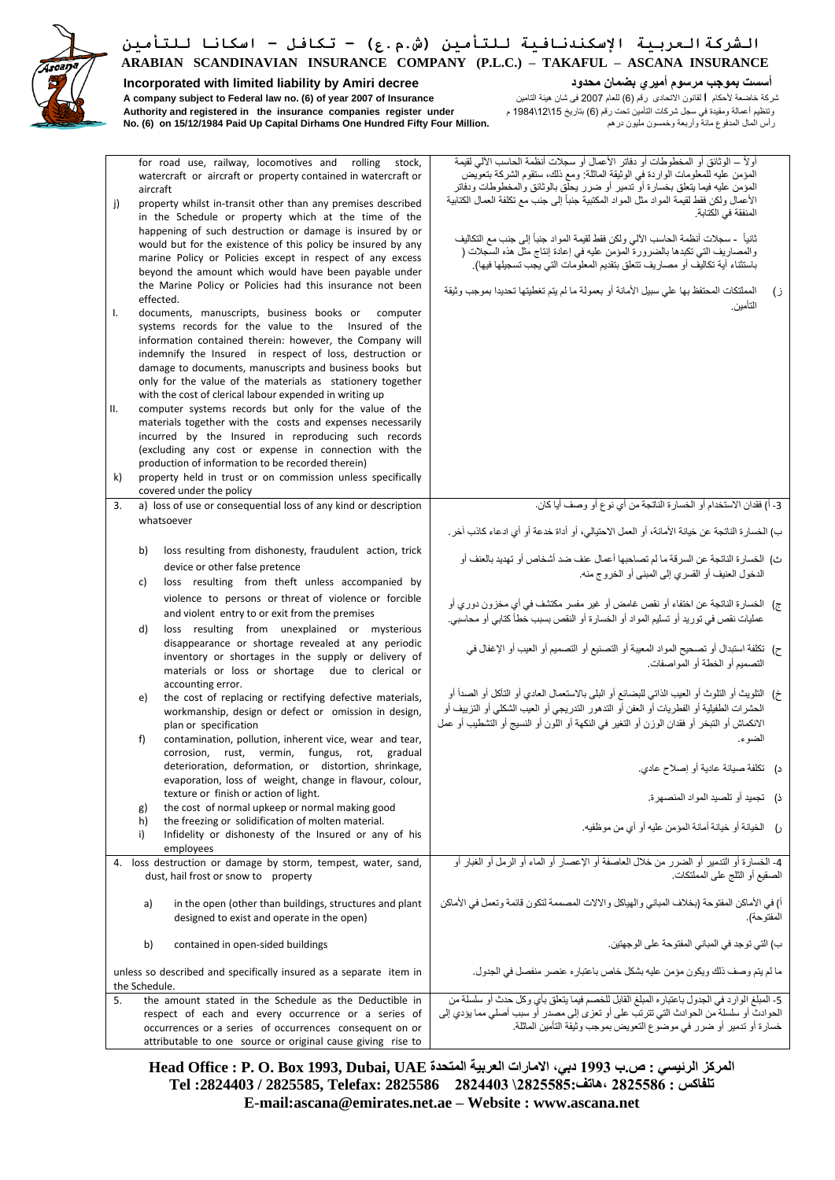

**Incorporated with limited liability by Amiri decree محدود بضمان أميري مرسوم بموجب أسست** شركة خاضعة ألحكام **ا**لقانون االتحادى رقم )6( للعام 2007 فى شان هيئة التامين **Insurance of 2007 year of) 6 (.no law Federal to subject company A** وتنظيم أعمالة ومقيدة في سجل شركات التأمين تحت رقم )6( بتاريخ 15\ 12\ 1984 م **under register companies insurance the in registered and Authority No. (6) on 15/12/1984 Paid Up Capital Dirhams One Hundred Fifty Four Million.** درهم مليون وخمسون وأربعة مائة المدفوع المال رأس

| j)<br>I.<br>Ш. | for road use, railway, locomotives and rolling stock,<br>watercraft or aircraft or property contained in watercraft or<br>aircraft<br>property whilst in-transit other than any premises described<br>in the Schedule or property which at the time of the<br>happening of such destruction or damage is insured by or<br>would but for the existence of this policy be insured by any<br>marine Policy or Policies except in respect of any excess<br>beyond the amount which would have been payable under<br>the Marine Policy or Policies had this insurance not been<br>effected.<br>documents, manuscripts, business books or computer<br>systems records for the value to the Insured of the<br>information contained therein: however, the Company will<br>indemnify the Insured in respect of loss, destruction or<br>damage to documents, manuscripts and business books but<br>only for the value of the materials as stationery together<br>with the cost of clerical labour expended in writing up<br>computer systems records but only for the value of the<br>materials together with the costs and expenses necessarily<br>incurred by the Insured in reproducing such records<br>(excluding any cost or expense in connection with the<br>production of information to be recorded therein) | أو لأ – الوثائق أو المخطوطات أو دفاتر الأعمال أو سجلات أنظمة الحاسب الآلى لقيمة<br>المؤمن عليه للمعلومات الواردة في الوثيقة الماثلة: ومع ذلك، ستقوم الشركة بتعويض<br>المؤمن عليه فيما يتعلق بخسارة أو تنمير أو ضرر يحلق بالوثائق والمخطوطات ودفاتر<br>الأعمال ولكن فقط لقيمة المواد مثل المواد المكتبية جنبأ إلى جنب مع نكلفة العمال الكتابية<br>المنفقة في الكتابة.<br>ثانياً     سجلات أنظمة الحاسب الآلي ولكن فقط لقيمة المواد جنباً إلى جنب مع التكاليف<br>والمصاريف التي تكبدها بالضرورة المؤمن عليه في إعادة إنتاج مثل هذه السَّجلات (<br>باستثناء أية تكاليف أو مصـاريف تتعلَّق بتقديم المعلومات التي يـجب تسجيلها فيها).<br>المملتكات المحتفظ بها على سبيل الأمانة أو بعمولة ما لم يتم تغطيتها تحديدا بموجب وثيقة<br>ز)<br>التأمين |
|----------------|--------------------------------------------------------------------------------------------------------------------------------------------------------------------------------------------------------------------------------------------------------------------------------------------------------------------------------------------------------------------------------------------------------------------------------------------------------------------------------------------------------------------------------------------------------------------------------------------------------------------------------------------------------------------------------------------------------------------------------------------------------------------------------------------------------------------------------------------------------------------------------------------------------------------------------------------------------------------------------------------------------------------------------------------------------------------------------------------------------------------------------------------------------------------------------------------------------------------------------------------------------------------------------------------------------------|--------------------------------------------------------------------------------------------------------------------------------------------------------------------------------------------------------------------------------------------------------------------------------------------------------------------------------------------------------------------------------------------------------------------------------------------------------------------------------------------------------------------------------------------------------------------------------------------------------------------------------------------------------------------------------------------------------------------------------------------|
| k)             | property held in trust or on commission unless specifically<br>covered under the policy                                                                                                                                                                                                                                                                                                                                                                                                                                                                                                                                                                                                                                                                                                                                                                                                                                                                                                                                                                                                                                                                                                                                                                                                                      |                                                                                                                                                                                                                                                                                                                                                                                                                                                                                                                                                                                                                                                                                                                                            |
| 3.             | a) loss of use or consequential loss of any kind or description                                                                                                                                                                                                                                                                                                                                                                                                                                                                                                                                                                                                                                                                                                                                                                                                                                                                                                                                                                                                                                                                                                                                                                                                                                              | 3- أ) فقدان الاستخدام أو الخسارة الناتجة من أي نوع أو وصف أيا كان.                                                                                                                                                                                                                                                                                                                                                                                                                                                                                                                                                                                                                                                                         |
|                | whatsoever                                                                                                                                                                                                                                                                                                                                                                                                                                                                                                                                                                                                                                                                                                                                                                                                                                                                                                                                                                                                                                                                                                                                                                                                                                                                                                   | ب) الخسارة الناتجة عن خيانة الأمانة، أو العمل الاحتيالي، أو أداة خدعة أو أي ادعاء كانب آخر .                                                                                                                                                                                                                                                                                                                                                                                                                                                                                                                                                                                                                                               |
| b)             | loss resulting from dishonesty, fraudulent action, trick<br>device or other false pretence                                                                                                                                                                                                                                                                                                                                                                                                                                                                                                                                                                                                                                                                                                                                                                                                                                                                                                                                                                                                                                                                                                                                                                                                                   | ث) الخسارة الناتجة عن السرقة ما لم تصاحبها أعمال عنف ضد أشخاص أو تهديد بالعنف أو<br>الدخول العنيف أو القسري إلى المبنى أو الخروج منه.                                                                                                                                                                                                                                                                                                                                                                                                                                                                                                                                                                                                      |
| c)             | loss resulting from theft unless accompanied by                                                                                                                                                                                                                                                                                                                                                                                                                                                                                                                                                                                                                                                                                                                                                                                                                                                                                                                                                                                                                                                                                                                                                                                                                                                              |                                                                                                                                                                                                                                                                                                                                                                                                                                                                                                                                                                                                                                                                                                                                            |
|                | violence to persons or threat of violence or forcible                                                                                                                                                                                                                                                                                                                                                                                                                                                                                                                                                                                                                                                                                                                                                                                                                                                                                                                                                                                                                                                                                                                                                                                                                                                        | ج)   الخسارة الناتجة عن اختفاء أو نقص غامض أو غير مفسر مكتشف في أي مخزون دوري أو                                                                                                                                                                                                                                                                                                                                                                                                                                                                                                                                                                                                                                                           |
|                | and violent entry to or exit from the premises                                                                                                                                                                                                                                                                                                                                                                                                                                                                                                                                                                                                                                                                                                                                                                                                                                                                                                                                                                                                                                                                                                                                                                                                                                                               | عمليات نقص في توريد أو تسليم المواد أو الخسارة أو النقص بسبب خطأ كتابي أو محاسبي.                                                                                                                                                                                                                                                                                                                                                                                                                                                                                                                                                                                                                                                          |
| d)             | loss resulting from unexplained or mysterious<br>disappearance or shortage revealed at any periodic<br>inventory or shortages in the supply or delivery of<br>materials or loss or shortage due to clerical or                                                                                                                                                                                                                                                                                                                                                                                                                                                                                                                                                                                                                                                                                                                                                                                                                                                                                                                                                                                                                                                                                               | ح)  نكلفة استبدال أو تصحيح المواد المعيبة أو التصنيع أو التصميم أو العيب أو الإغفال في<br>التصميم أو الخطة أو المواصفات.                                                                                                                                                                                                                                                                                                                                                                                                                                                                                                                                                                                                                   |
| e)             | accounting error.<br>the cost of replacing or rectifying defective materials,<br>workmanship, design or defect or omission in design,<br>plan or specification                                                                                                                                                                                                                                                                                                                                                                                                                                                                                                                                                                                                                                                                                                                                                                                                                                                                                                                                                                                                                                                                                                                                               | خ)  التلويث أو التلوث أو العيب الذاتي للبضائع أو البلي بالاستعمال العادي أو التآكل أو الصدأ أو<br>الحشرات الطفيلية أو الفطريات أو العفن أو التدهور التدريجي أو العيب الشكلي أو التزييف أو<br>الانكماش أو التبخر أو فقدان الوزن أو التغير في النكهة أو اللون أو النسيج أو التشطيب أو عمل                                                                                                                                                                                                                                                                                                                                                                                                                                                    |
| f)             | contamination, pollution, inherent vice, wear and tear,                                                                                                                                                                                                                                                                                                                                                                                                                                                                                                                                                                                                                                                                                                                                                                                                                                                                                                                                                                                                                                                                                                                                                                                                                                                      | الضو ء.                                                                                                                                                                                                                                                                                                                                                                                                                                                                                                                                                                                                                                                                                                                                    |
|                | corrosion, rust, vermin, fungus, rot,<br>gradual<br>deterioration, deformation, or distortion, shrinkage,<br>evaporation, loss of weight, change in flavour, colour,                                                                                                                                                                                                                                                                                                                                                                                                                                                                                                                                                                                                                                                                                                                                                                                                                                                                                                                                                                                                                                                                                                                                         | د)    تكلفة صيانة عادية أو إصلاح عادي.                                                                                                                                                                                                                                                                                                                                                                                                                                                                                                                                                                                                                                                                                                     |
|                | texture or finish or action of light.                                                                                                                                                                                                                                                                                                                                                                                                                                                                                                                                                                                                                                                                                                                                                                                                                                                                                                                                                                                                                                                                                                                                                                                                                                                                        | ذ)    تجميد أو  تلصيد المو اد المنصبهر ة.                                                                                                                                                                                                                                                                                                                                                                                                                                                                                                                                                                                                                                                                                                  |
| g)<br>h)       | the cost of normal upkeep or normal making good<br>the freezing or solidification of molten material.                                                                                                                                                                                                                                                                                                                                                                                                                                                                                                                                                                                                                                                                                                                                                                                                                                                                                                                                                                                                                                                                                                                                                                                                        |                                                                                                                                                                                                                                                                                                                                                                                                                                                                                                                                                                                                                                                                                                                                            |
| i)             | Infidelity or dishonesty of the Insured or any of his<br>employees                                                                                                                                                                                                                                                                                                                                                                                                                                                                                                                                                                                                                                                                                                                                                                                                                                                                                                                                                                                                                                                                                                                                                                                                                                           | ر) الخيانة أو خيانة أمانة المؤمن عليه أو أي من موظفيه.                                                                                                                                                                                                                                                                                                                                                                                                                                                                                                                                                                                                                                                                                     |
|                | 4. loss destruction or damage by storm, tempest, water, sand,<br>dust, hail frost or snow to property                                                                                                                                                                                                                                                                                                                                                                                                                                                                                                                                                                                                                                                                                                                                                                                                                                                                                                                                                                                                                                                                                                                                                                                                        | 4- الخسارة أو التدمير أو الضرر من خلال العاصفة أو الإعصار أو الماء أو الرمل أو الغبار أو<br>الصقيع أو الثلج على المملتكات.                                                                                                                                                                                                                                                                                                                                                                                                                                                                                                                                                                                                                 |
| a)             | in the open (other than buildings, structures and plant<br>designed to exist and operate in the open)                                                                                                                                                                                                                                                                                                                                                                                                                                                                                                                                                                                                                                                                                                                                                                                                                                                                                                                                                                                                                                                                                                                                                                                                        | أ) في الأماكن المفتوحة (بخلاف المباني والهياكل والالات المصممة لتكون قائمة وتعمل في الأماكن<br>المفتوحة).                                                                                                                                                                                                                                                                                                                                                                                                                                                                                                                                                                                                                                  |
|                | b)<br>contained in open-sided buildings                                                                                                                                                                                                                                                                                                                                                                                                                                                                                                                                                                                                                                                                                                                                                                                                                                                                                                                                                                                                                                                                                                                                                                                                                                                                      | ب) التي توجد في المباني المفتوحة على الوجهتين.                                                                                                                                                                                                                                                                                                                                                                                                                                                                                                                                                                                                                                                                                             |
| the Schedule.  | unless so described and specifically insured as a separate item in                                                                                                                                                                                                                                                                                                                                                                                                                                                                                                                                                                                                                                                                                                                                                                                                                                                                                                                                                                                                                                                                                                                                                                                                                                           | ما لم يتم وصف ذلك ويكون مؤمن عليه بشكل خاص باعتباره عنصر منفصل في الجدول.                                                                                                                                                                                                                                                                                                                                                                                                                                                                                                                                                                                                                                                                  |
| 5.             | the amount stated in the Schedule as the Deductible in                                                                                                                                                                                                                                                                                                                                                                                                                                                                                                                                                                                                                                                                                                                                                                                                                                                                                                                                                                                                                                                                                                                                                                                                                                                       | 5- المبلغ الوارد في الجدول باعتباره المبلغ القابل للخصم فيما يتعلق بأي وكل حدث أو سلسلة من                                                                                                                                                                                                                                                                                                                                                                                                                                                                                                                                                                                                                                                 |
|                | respect of each and every occurrence or a series of                                                                                                                                                                                                                                                                                                                                                                                                                                                                                                                                                                                                                                                                                                                                                                                                                                                                                                                                                                                                                                                                                                                                                                                                                                                          | الحوادث أو سلسلة من الحوادث التي تترتب على أو تعزى إلى مصدر أو سبب أصلي مما يؤدي إلى<br>خسارة أو تدمير أو ضرر في موضوّع التعويضّ بموجب وثيقة التأمين الماثلة.                                                                                                                                                                                                                                                                                                                                                                                                                                                                                                                                                                              |
|                | occurrences or a series of occurrences consequent on or<br>attributable to one source or original cause giving rise to                                                                                                                                                                                                                                                                                                                                                                                                                                                                                                                                                                                                                                                                                                                                                                                                                                                                                                                                                                                                                                                                                                                                                                                       |                                                                                                                                                                                                                                                                                                                                                                                                                                                                                                                                                                                                                                                                                                                                            |
|                |                                                                                                                                                                                                                                                                                                                                                                                                                                                                                                                                                                                                                                                                                                                                                                                                                                                                                                                                                                                                                                                                                                                                                                                                                                                                                                              |                                                                                                                                                                                                                                                                                                                                                                                                                                                                                                                                                                                                                                                                                                                                            |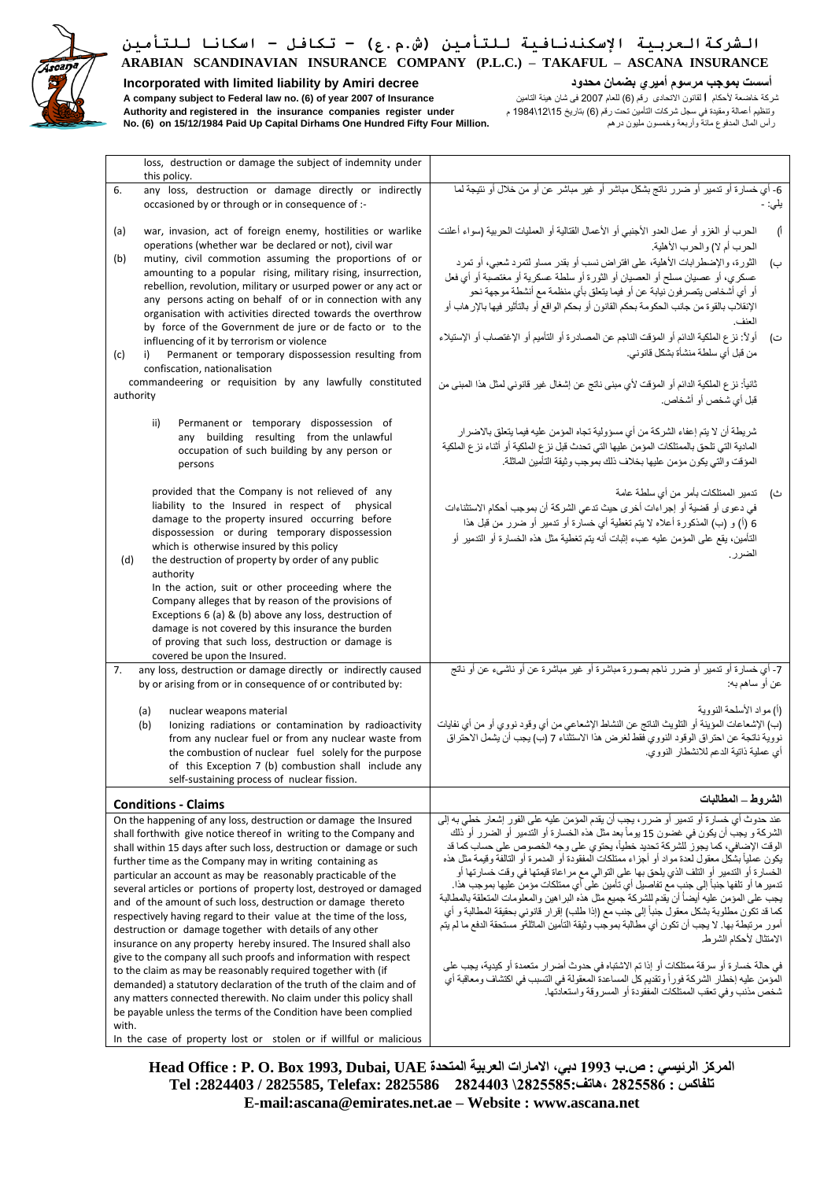## **Incorporated with limited liability by Amiri decree محدود بضمان أميري مرسوم بموجب أسست**

شركة خاضعة ألحكام **ا**لقانون االتحادى رقم )6( للعام 2007 فى شان هيئة التامين **Insurance of 2007 year of) 6 (.no law Federal to subject company A** وتنظيم أعمالة ومقيدة في سجل شركات التأمين تحت رقم )6( بتاريخ 15\ 12\ 1984 م **under register companies insurance the in registered and Authority No. (6) on 15/12/1984 Paid Up Capital Dirhams One Hundred Fifty Four Million.** درهم مليون وخمسون وأربعة مائة المدفوع المال رأس

| loss, destruction or damage the subject of indemnity under                                                                                                                                                                                                                                                                                                                                                                                                                                                                                                                                                                                                                                                                                                                                                                                                                                                                                                                                                                                                                                                             |                                                                                                                                                                                                                                                                                                                                                                                                                                                                                                                                                                                                                                                                                                                                                                                                                                                                                                                                                                                                                                                                                                                                                                |
|------------------------------------------------------------------------------------------------------------------------------------------------------------------------------------------------------------------------------------------------------------------------------------------------------------------------------------------------------------------------------------------------------------------------------------------------------------------------------------------------------------------------------------------------------------------------------------------------------------------------------------------------------------------------------------------------------------------------------------------------------------------------------------------------------------------------------------------------------------------------------------------------------------------------------------------------------------------------------------------------------------------------------------------------------------------------------------------------------------------------|----------------------------------------------------------------------------------------------------------------------------------------------------------------------------------------------------------------------------------------------------------------------------------------------------------------------------------------------------------------------------------------------------------------------------------------------------------------------------------------------------------------------------------------------------------------------------------------------------------------------------------------------------------------------------------------------------------------------------------------------------------------------------------------------------------------------------------------------------------------------------------------------------------------------------------------------------------------------------------------------------------------------------------------------------------------------------------------------------------------------------------------------------------------|
| this policy.                                                                                                                                                                                                                                                                                                                                                                                                                                                                                                                                                                                                                                                                                                                                                                                                                                                                                                                                                                                                                                                                                                           |                                                                                                                                                                                                                                                                                                                                                                                                                                                                                                                                                                                                                                                                                                                                                                                                                                                                                                                                                                                                                                                                                                                                                                |
| any loss, destruction or damage directly or indirectly<br>6.<br>occasioned by or through or in consequence of :-                                                                                                                                                                                                                                                                                                                                                                                                                                                                                                                                                                                                                                                                                                                                                                                                                                                                                                                                                                                                       | 6- أي خسارة أو تدمير أو ضرر ناتج بشكل مباشر أو غير مباشر عن أو من خلال أو نتيجة لما<br>يلي: -                                                                                                                                                                                                                                                                                                                                                                                                                                                                                                                                                                                                                                                                                                                                                                                                                                                                                                                                                                                                                                                                  |
| (a)<br>war, invasion, act of foreign enemy, hostilities or warlike<br>operations (whether war be declared or not), civil war                                                                                                                                                                                                                                                                                                                                                                                                                                                                                                                                                                                                                                                                                                                                                                                                                                                                                                                                                                                           | الحرب أو الغزو أو عمل العدو الأجنبي أو الأعمال القتالية أو العمليات الحربية (سواء أعلنت<br>ाँ<br>الحرب أم لا) والحرب الأهلية.                                                                                                                                                                                                                                                                                                                                                                                                                                                                                                                                                                                                                                                                                                                                                                                                                                                                                                                                                                                                                                  |
| (b)<br>mutiny, civil commotion assuming the proportions of or<br>amounting to a popular rising, military rising, insurrection,<br>rebellion, revolution, military or usurped power or any act or<br>any persons acting on behalf of or in connection with any<br>organisation with activities directed towards the overthrow                                                                                                                                                                                                                                                                                                                                                                                                                                                                                                                                                                                                                                                                                                                                                                                           | الثورة، والإضطرابات الأهلية، على افتراض نسب أو بقدر مساو لتمرد شعبي، أو تمرد<br>ب)<br>عسكري، أو عصيان مسلح أو العصيان أو الثورة أو سلطة عسكرية أو مغتصبة أو أي فعل<br>أو أي أشخاص يتصرفون نيابة عن أو فيما يتعلق بأي منظمة مع أنشطة موجهة نحو<br>الإنقلاب بالقوة من جانب الحكومة بحكم القانون أو بحكم الواقع أو بالتأثير فيها بالإر هاب أو<br>العنف.                                                                                                                                                                                                                                                                                                                                                                                                                                                                                                                                                                                                                                                                                                                                                                                                           |
| by force of the Government de jure or de facto or to the<br>influencing of it by terrorism or violence<br>Permanent or temporary dispossession resulting from<br>(c)<br>i)<br>confiscation, nationalisation                                                                                                                                                                                                                                                                                                                                                                                                                                                                                                                                                                                                                                                                                                                                                                                                                                                                                                            | أولاً: نزع الملكية الدائم أو المؤقت الناجم عن المصادرة أو التأميم أو الإغتصاب أو الإستيلاء<br>ت)<br>من قبل أي سلطة منشأة بشكل قانوني.                                                                                                                                                                                                                                                                                                                                                                                                                                                                                                                                                                                                                                                                                                                                                                                                                                                                                                                                                                                                                          |
| commandeering or requisition by any lawfully constituted<br>authority                                                                                                                                                                                                                                                                                                                                                                                                                                                                                                                                                                                                                                                                                                                                                                                                                                                                                                                                                                                                                                                  | ثانياً: نز ع الملكية الدائم أو المؤقت لأي مبنى ناتج عن إشغال غير قانوني لمثل هذا المبنى من<br>قبل أي شخص أو أشخاص.                                                                                                                                                                                                                                                                                                                                                                                                                                                                                                                                                                                                                                                                                                                                                                                                                                                                                                                                                                                                                                             |
| Permanent or temporary dispossession of<br>ii)<br>any building resulting from the unlawful<br>occupation of such building by any person or<br>persons                                                                                                                                                                                                                                                                                                                                                                                                                                                                                                                                                                                                                                                                                                                                                                                                                                                                                                                                                                  | شريطة أن لا يتم إعفاء الشركة من أي مسؤولية تجاه المؤمن عليه فيما يتعلق بالاضرار<br>المادية التي تلحق بالممتلكات المؤمن عليها التي تحدث قبل نزع الملكية أو أثناء نزع الملكية<br>المؤقت والتي يكون مؤمن عليها بخلاف ذلك بموجب وثيقة التأمين الماثلة.                                                                                                                                                                                                                                                                                                                                                                                                                                                                                                                                                                                                                                                                                                                                                                                                                                                                                                             |
| provided that the Company is not relieved of any<br>liability to the Insured in respect of physical<br>damage to the property insured occurring before<br>dispossession or during temporary dispossession<br>which is otherwise insured by this policy<br>(d)<br>the destruction of property by order of any public<br>authority                                                                                                                                                                                                                                                                                                                                                                                                                                                                                                                                                                                                                                                                                                                                                                                       | ث)     تدمير الممتلكات بأمر من أي سلطة عامة<br>في دعوى أو قضية أو إجراءات أخرى حيث تدعى الشركة أن بموجب أحكام الاستثناءات<br>6 (أ) و (ب) المذكورة أعلاه لا يتم تغطية أي خسارة أو تنمير أو ضرر من قبل هذا<br>التأمين، يقع على المؤمن عليه عبء إثبات أنه يتم تغطية مثل هذه الخسارة أو التدمير أو<br>الضرر ِ                                                                                                                                                                                                                                                                                                                                                                                                                                                                                                                                                                                                                                                                                                                                                                                                                                                      |
| In the action, suit or other proceeding where the<br>Company alleges that by reason of the provisions of<br>Exceptions 6 (a) & (b) above any loss, destruction of<br>damage is not covered by this insurance the burden<br>of proving that such loss, destruction or damage is<br>covered be upon the Insured.                                                                                                                                                                                                                                                                                                                                                                                                                                                                                                                                                                                                                                                                                                                                                                                                         |                                                                                                                                                                                                                                                                                                                                                                                                                                                                                                                                                                                                                                                                                                                                                                                                                                                                                                                                                                                                                                                                                                                                                                |
| 7.<br>any loss, destruction or damage directly or indirectly caused<br>by or arising from or in consequence of or contributed by:                                                                                                                                                                                                                                                                                                                                                                                                                                                                                                                                                                                                                                                                                                                                                                                                                                                                                                                                                                                      | 7- أي خسارة أو تنمير أو ضرر ناجم بصورة مباشرة أو غير مباشرة عن أو ناشىء عن أو ناتج<br>عن أو ساهم به:                                                                                                                                                                                                                                                                                                                                                                                                                                                                                                                                                                                                                                                                                                                                                                                                                                                                                                                                                                                                                                                           |
| (a)<br>nuclear weapons material<br>(b)<br>lonizing radiations or contamination by radioactivity<br>from any nuclear fuel or from any nuclear waste from<br>the combustion of nuclear fuel solely for the purpose<br>of this Exception 7 (b) combustion shall include any<br>self-sustaining process of nuclear fission.                                                                                                                                                                                                                                                                                                                                                                                                                                                                                                                                                                                                                                                                                                                                                                                                | (أ) مو اد الأسلحة النو و بـهّ<br>(ب) الإشعاعات المؤينة أو التلويث الناتج عن النشاط الإشعاعي من أي وقود نووي أو من أي نفايات<br>نووية ناتجة عن احتراق الوقود النووي فقط لغرض هذا الاستثناء 7 (ب) يجب أن يشمل الاحتراق<br>أى عملية ذاتية الدعم للانشطار النووي.                                                                                                                                                                                                                                                                                                                                                                                                                                                                                                                                                                                                                                                                                                                                                                                                                                                                                                  |
| <b>Conditions - Claims</b>                                                                                                                                                                                                                                                                                                                                                                                                                                                                                                                                                                                                                                                                                                                                                                                                                                                                                                                                                                                                                                                                                             | الشروط _ المطالبات                                                                                                                                                                                                                                                                                                                                                                                                                                                                                                                                                                                                                                                                                                                                                                                                                                                                                                                                                                                                                                                                                                                                             |
| On the happening of any loss, destruction or damage the Insured<br>shall forthwith give notice thereof in writing to the Company and<br>shall within 15 days after such loss, destruction or damage or such<br>further time as the Company may in writing containing as<br>particular an account as may be reasonably practicable of the<br>several articles or portions of property lost, destroyed or damaged<br>and of the amount of such loss, destruction or damage thereto<br>respectively having regard to their value at the time of the loss,<br>destruction or damage together with details of any other<br>insurance on any property hereby insured. The Insured shall also<br>give to the company all such proofs and information with respect<br>to the claim as may be reasonably required together with (if<br>demanded) a statutory declaration of the truth of the claim and of<br>any matters connected therewith. No claim under this policy shall<br>be payable unless the terms of the Condition have been complied<br>with.<br>In the case of property lost or stolen or if willful or malicious | عند حدوث أي خسار ة أو تدمير أو ضرر ، بجب أن يقدم المؤمن عليه على الفور إشعار خطي به إلى<br>الشركة و يجب أن يكون في غضون 15 يوماً بعد مثل هذه الخسارة أو التدمير أو الضرر أو ذلك<br>الوقت الإضافي، كما يجوز للشركة تحديد خطياً، يحتوي على وجه الخصوص على حساب كما قد<br>يكون عملياً بشكَّل معقول لعدة مواد أو أجزاء ممتلكات المفقودة أو المدمرة أو النالفة وقيمة مثل هذه<br>الخسارة أو التدمير أو التلف الذي يلحق بها على التوالي مع مراعاة قيمتها في وقت خسارتها أو<br>تدمير ها أو تلفها جنباً إلى جنب مع تفاصيل أي تأمين على أي ممتلكات مؤمن عليها بموجب هذا.<br>يجب على المؤمن عليه أيضأ أن يقدم للشركة جميع مثل هذه البر اهين والمعلومات المتعلقة بالمطالبة<br>كما قد تكون مطلوبة بشكل معقول جنباً إلى جنب مّع (إذا طلب) إقرار قانوني بحقيقة المطالبة و أي<br>أمور مرتبطة بها. لا يجب أن تكون أي مطالبة بموجب وثيقة التأمين الماثلةو مستحقة الدفع ما لم يتم<br>الامتثال لأحكام الشر ط.<br>في حالة خسار ة أو سر قة ممتلكات أو إذا تم الاشتباه في حدوث أضر ار  متعمدة أو  كيدية، يجب على<br>المَوْمن عليه إخطار الشركة فوراً وتقديم كلّ المساعدة المعقولة في التسبب في اكتشاف ومعاقبة أي<br>شخص مذنب و في تعقب الممتلكات المفقو دة أو المسر و قة و استعادتها. |
|                                                                                                                                                                                                                                                                                                                                                                                                                                                                                                                                                                                                                                                                                                                                                                                                                                                                                                                                                                                                                                                                                                                        |                                                                                                                                                                                                                                                                                                                                                                                                                                                                                                                                                                                                                                                                                                                                                                                                                                                                                                                                                                                                                                                                                                                                                                |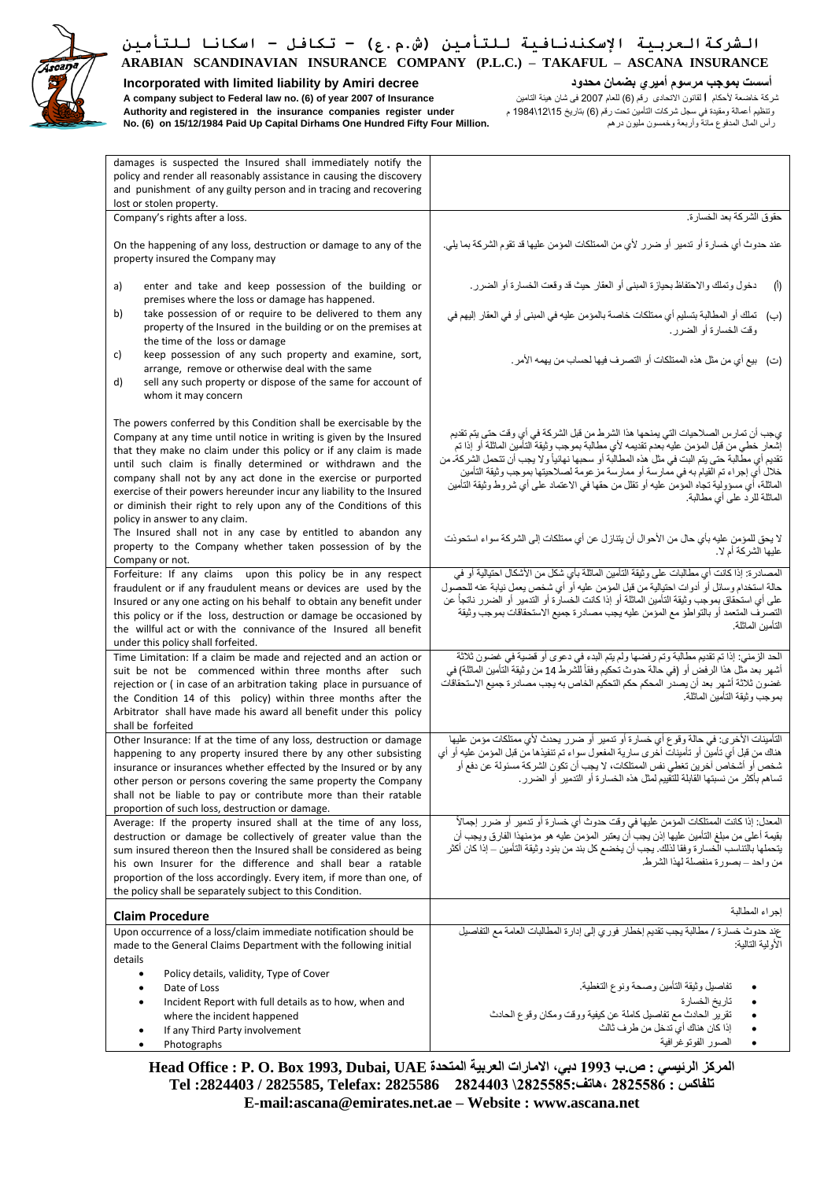

**Incorporated with limited liability by Amiri decree محدود بضمان أميري مرسوم بموجب أسست** شركة خاضعة ألحكام **ا**لقانون االتحادى رقم )6( للعام 2007 فى شان هيئة التامين **Insurance of 2007 year of) 6 (.no law Federal to subject company A** وتنظيم أعمالة ومقيدة في سجل شركات التأمين تحت رقم )6( بتاريخ 15\ 12\ 1984 م **under register companies insurance the in registered and Authority No. (6) on 15/12/1984 Paid Up Capital Dirhams One Hundred Fifty Four Million.** درهم مليون وخمسون وأربعة مائة المدفوع المال رأس

| damages is suspected the Insured shall immediately notify the                                                                                                                                                                                                                                                                                                                                                                                                                                                                                                                                                                                                                         |                                                                                                                                                                                                                                                                                                                                                                                                                                                                                                                                                                                                                          |
|---------------------------------------------------------------------------------------------------------------------------------------------------------------------------------------------------------------------------------------------------------------------------------------------------------------------------------------------------------------------------------------------------------------------------------------------------------------------------------------------------------------------------------------------------------------------------------------------------------------------------------------------------------------------------------------|--------------------------------------------------------------------------------------------------------------------------------------------------------------------------------------------------------------------------------------------------------------------------------------------------------------------------------------------------------------------------------------------------------------------------------------------------------------------------------------------------------------------------------------------------------------------------------------------------------------------------|
| policy and render all reasonably assistance in causing the discovery                                                                                                                                                                                                                                                                                                                                                                                                                                                                                                                                                                                                                  |                                                                                                                                                                                                                                                                                                                                                                                                                                                                                                                                                                                                                          |
| and punishment of any guilty person and in tracing and recovering                                                                                                                                                                                                                                                                                                                                                                                                                                                                                                                                                                                                                     |                                                                                                                                                                                                                                                                                                                                                                                                                                                                                                                                                                                                                          |
| lost or stolen property.                                                                                                                                                                                                                                                                                                                                                                                                                                                                                                                                                                                                                                                              |                                                                                                                                                                                                                                                                                                                                                                                                                                                                                                                                                                                                                          |
| Company's rights after a loss.                                                                                                                                                                                                                                                                                                                                                                                                                                                                                                                                                                                                                                                        | حقوق الشركة بعد الخسارة.                                                                                                                                                                                                                                                                                                                                                                                                                                                                                                                                                                                                 |
| On the happening of any loss, destruction or damage to any of the<br>property insured the Company may                                                                                                                                                                                                                                                                                                                                                                                                                                                                                                                                                                                 | عند حدوث أي خسارة أو تدمير أو ضرر لأي من الممتلكات المؤمن عليها قد تقوم الشركة بما يلي.                                                                                                                                                                                                                                                                                                                                                                                                                                                                                                                                  |
| enter and take and keep possession of the building or<br>a)<br>premises where the loss or damage has happened.                                                                                                                                                                                                                                                                                                                                                                                                                                                                                                                                                                        | دخول وتملك والاحتفاظ بحيازة المبنى أو العقار حيث قد وقعت الخسارة أو الضرر .<br>(1)                                                                                                                                                                                                                                                                                                                                                                                                                                                                                                                                       |
| take possession of or require to be delivered to them any<br>b)<br>property of the Insured in the building or on the premises at<br>the time of the loss or damage                                                                                                                                                                                                                                                                                                                                                                                                                                                                                                                    | (ب)    تملك أو المطالبة بتسليم أي ممتلكات خاصة بالمؤمن عليه في المبنى أو في العقار إليهم في<br>وقت الخسار ة أو الضر ر .                                                                                                                                                                                                                                                                                                                                                                                                                                                                                                  |
| keep possession of any such property and examine, sort,<br>c)<br>arrange, remove or otherwise deal with the same<br>sell any such property or dispose of the same for account of<br>d)                                                                                                                                                                                                                                                                                                                                                                                                                                                                                                | (ت) بيع أي من مثل هذه الممتلكات أو التصرف فيها لحساب من يهمه الأمر.                                                                                                                                                                                                                                                                                                                                                                                                                                                                                                                                                      |
| whom it may concern<br>The powers conferred by this Condition shall be exercisable by the<br>Company at any time until notice in writing is given by the Insured<br>that they make no claim under this policy or if any claim is made<br>until such claim is finally determined or withdrawn and the<br>company shall not by any act done in the exercise or purported<br>exercise of their powers hereunder incur any liability to the Insured<br>or diminish their right to rely upon any of the Conditions of this<br>policy in answer to any claim.<br>The Insured shall not in any case by entitled to abandon any<br>property to the Company whether taken possession of by the | يجب أن تمارس الصلاحيات التي يمنحها هذا الشرط من قبل الشركة في أي وقت حتى يتم تقديم<br>إشعار خطي من قبل المؤمن عليه بعدم تقديمه لأي مطالبة بموجب وثيقة التأمين الماثلة أو إذا تم<br>تقديم أي مطَّالبة حتى يتم البت في مثِّل هذه المطالبة أو سحبها نهائياً ولا يجب أن تتحمل الشركة من<br>خلال أي إجراء تم القيام به في ممارسة أو ممارسة مز عومة لصلاحيتها بموجب وثيقة التأمين<br>الماثلة، أي مسؤولية تجاه المؤمن عليه أو تقلل من حقها في الاعتماد على أي شروط وثيقة التأمين<br>الماثلة للرد على أي مطالبة.<br>لا يحق للمؤمن عليه بأي حال من الأحوال أن يتنازل عن أي ممتلكات إلى الشركة سواء استحوذت<br>عليها الشركة أم لا. |
| Company or not.                                                                                                                                                                                                                                                                                                                                                                                                                                                                                                                                                                                                                                                                       | المصـادر ة: إذا كانت أي مطالبات على وثيقة التأمين الماثلة بأي شكل من الأشكال احتيالية أو في                                                                                                                                                                                                                                                                                                                                                                                                                                                                                                                              |
| Forfeiture: If any claims upon this policy be in any respect<br>fraudulent or if any fraudulent means or devices are used by the<br>Insured or any one acting on his behalf to obtain any benefit under<br>this policy or if the loss, destruction or damage be occasioned by<br>the willful act or with the connivance of the Insured all benefit<br>under this policy shall forfeited.                                                                                                                                                                                                                                                                                              | حالة استخدام وسائل أو أدوات احتيالية من قبل المؤمن عليه أو أي شخص يعمل نيابة عنه للحصول<br>على أي استحقاق بموجب وثيقة التأمين الماثلة أو إذا كانت الخسارة أو التدمير أو الضرر ناتجاً عن<br>التصرف المتعمد أو بالتواطؤ مع المؤمن عليه يجب مصادرة جميع الاستحقاقات بموجب وثيقة<br>التأمين الماثلة.                                                                                                                                                                                                                                                                                                                         |
| Time Limitation: If a claim be made and rejected and an action or<br>suit be not be commenced within three months after such<br>rejection or (in case of an arbitration taking place in pursuance of<br>the Condition 14 of this policy) within three months after the<br>Arbitrator shall have made his award all benefit under this policy<br>shall be forfeited                                                                                                                                                                                                                                                                                                                    | الحد الزمني: إذا تم تقديم مطالبة وتم رفضها ولم يتم البدء في دعوى أو قضية في غضون ثلاثة<br>أشهر بعد مثل هذا الرفض أو (في حالة حدوث تحكيم وفقاً للشرط 14 من وثيقة التأمين الماثلة) في<br>غضون ثلاثة أشهر بعد أن يصدر المحكم حكم التحكيم الخاص به يجب مصادرة جميع الاستحقاقات<br>بموجب وثيقة التأمين الماثلة.                                                                                                                                                                                                                                                                                                               |
| Other Insurance: If at the time of any loss, destruction or damage<br>happening to any property insured there by any other subsisting<br>insurance or insurances whether effected by the Insured or by any<br>other person or persons covering the same property the Company<br>shall not be liable to pay or contribute more than their ratable<br>proportion of such loss, destruction or damage.                                                                                                                                                                                                                                                                                   | التأمينات الأخرى: في حالة وقوع أي خسارة أو تنمير أو ضرر يحدث لأي ممتلكات مؤمن عليها<br>هناك من قبل أي تأمين أو تأمينات أخرى سارية المفعول سواء تم تنفيذها من قبل المؤمن عليه أو أي<br>شخص أو أشخاص آخرين تغطي نفس الممتلكات، لا يجب أن تكون الشركة مسئولة عن دفع أو<br>تساهم بأكثر من نسبتها القابلة للتَّقييم لمثل هذه الخسارة أو التدمير أو الضرر.                                                                                                                                                                                                                                                                     |
| Average: If the property insured shall at the time of any loss,<br>destruction or damage be collectively of greater value than the<br>sum insured thereon then the Insured shall be considered as being<br>his own Insurer for the difference and shall bear a ratable<br>proportion of the loss accordingly. Every item, if more than one, of<br>the policy shall be separately subject to this Condition.                                                                                                                                                                                                                                                                           | المعدل: إذا كانت الممتلكات المؤمن عليها في وقت حدوث أي خسارة أو تدمير أو ضرر إجمالاً<br>بقيمة أعلى من مبلغ التأمين عليها إذن يجب أن يعتبر المؤمن عليه هو مؤمنهذا الفارق ويجب أن<br>يتحملها بالتناسب الَّخسارة وفقا لذلك. يجب أن يخضع كل بند من بنود وثيقة التأمين ــ إذا كان أكثر<br>من واحد – بصورة منفصلة لهذا الشرط.                                                                                                                                                                                                                                                                                                  |
|                                                                                                                                                                                                                                                                                                                                                                                                                                                                                                                                                                                                                                                                                       | إجر اء المطالبة                                                                                                                                                                                                                                                                                                                                                                                                                                                                                                                                                                                                          |
| <b>Claim Procedure</b><br>Upon occurrence of a loss/claim immediate notification should be<br>made to the General Claims Department with the following initial<br>details                                                                                                                                                                                                                                                                                                                                                                                                                                                                                                             | عند حدوث خسارة / مطالبة يجب تقديم إخطار فوري إلى إدارة المطالبات العامة مع التفاصيل<br>الأولية التالية:                                                                                                                                                                                                                                                                                                                                                                                                                                                                                                                  |
| Policy details, validity, Type of Cover<br>$\bullet$<br>Date of Loss<br>Incident Report with full details as to how, when and<br>where the incident happened<br>If any Third Party involvement<br>٠<br>Photographs                                                                                                                                                                                                                                                                                                                                                                                                                                                                    | تفاصيل وثيقة التأمين وصحة ونوع التغطية.<br>تاريخ الخسارة<br>تقرير الحادث مع تفاصيل كاملة عن كيفية ووقت ومكان وقوع الحادث<br>إذا كان هناك أي تدخل من طرف ثالث<br>الصور الفوتوغرافية                                                                                                                                                                                                                                                                                                                                                                                                                                       |